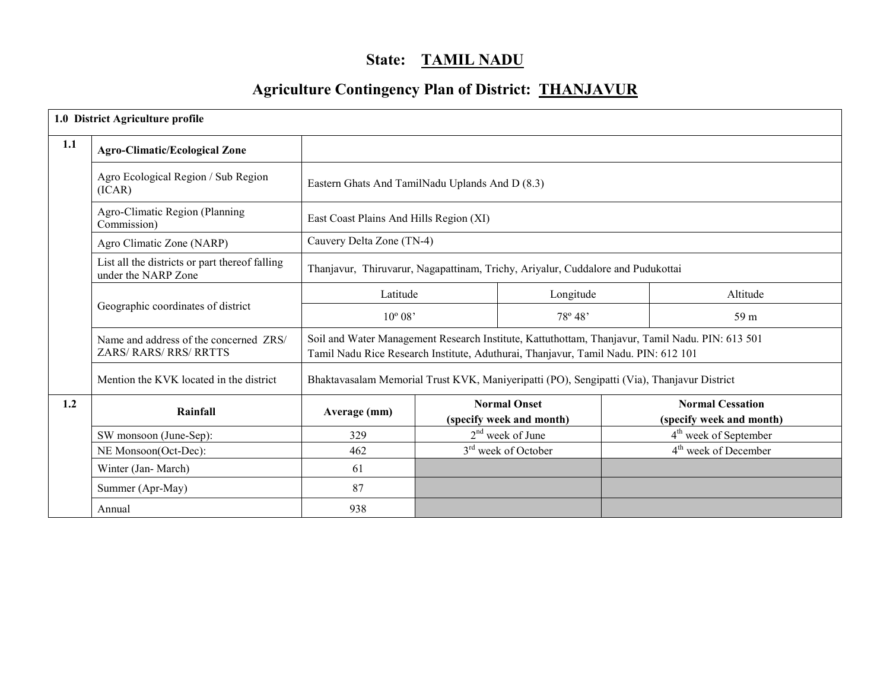# State: TAMIL NADU

# Agriculture Contingency Plan of District: THANJAVUR

|     | 1.0 District Agriculture profile                                      |                                                 |  |                                                                                            |  |                                                                                                 |
|-----|-----------------------------------------------------------------------|-------------------------------------------------|--|--------------------------------------------------------------------------------------------|--|-------------------------------------------------------------------------------------------------|
| 1.1 | <b>Agro-Climatic/Ecological Zone</b>                                  |                                                 |  |                                                                                            |  |                                                                                                 |
|     | Agro Ecological Region / Sub Region<br>(ICAR)                         | Eastern Ghats And TamilNadu Uplands And D (8.3) |  |                                                                                            |  |                                                                                                 |
|     | Agro-Climatic Region (Planning<br>Commission)                         | East Coast Plains And Hills Region (XI)         |  |                                                                                            |  |                                                                                                 |
|     | Agro Climatic Zone (NARP)                                             | Cauvery Delta Zone (TN-4)                       |  |                                                                                            |  |                                                                                                 |
|     | List all the districts or part thereof falling<br>under the NARP Zone |                                                 |  | Thanjavur, Thiruvarur, Nagapattinam, Trichy, Ariyalur, Cuddalore and Pudukottai            |  |                                                                                                 |
|     |                                                                       | Latitude                                        |  | Longitude                                                                                  |  | Altitude                                                                                        |
|     | Geographic coordinates of district                                    | $10^{\circ} 08'$                                |  | 78° 48'                                                                                    |  | 59 m                                                                                            |
|     | Name and address of the concerned ZRS/<br>ZARS/RARS/RRS/RRTTS         |                                                 |  | Tamil Nadu Rice Research Institute, Aduthurai, Thanjavur, Tamil Nadu. PIN: 612 101         |  | Soil and Water Management Research Institute, Kattuthottam, Thanjavur, Tamil Nadu. PIN: 613 501 |
|     | Mention the KVK located in the district                               |                                                 |  | Bhaktavasalam Memorial Trust KVK, Maniyeripatti (PO), Sengipatti (Via), Thanjavur District |  |                                                                                                 |
| 1.2 | Rainfall                                                              | Average (mm)                                    |  | <b>Normal Onset</b><br>(specify week and month)                                            |  | <b>Normal Cessation</b><br>(specify week and month)                                             |
|     | SW monsoon (June-Sep):                                                | 329                                             |  | $2nd$ week of June                                                                         |  | 4 <sup>th</sup> week of September                                                               |
|     | NE Monsoon(Oct-Dec):                                                  | 462                                             |  | 3 <sup>rd</sup> week of October                                                            |  | 4 <sup>th</sup> week of December                                                                |
|     | Winter (Jan-March)                                                    | 61                                              |  |                                                                                            |  |                                                                                                 |
|     | Summer (Apr-May)                                                      | 87                                              |  |                                                                                            |  |                                                                                                 |
|     | Annual                                                                | 938                                             |  |                                                                                            |  |                                                                                                 |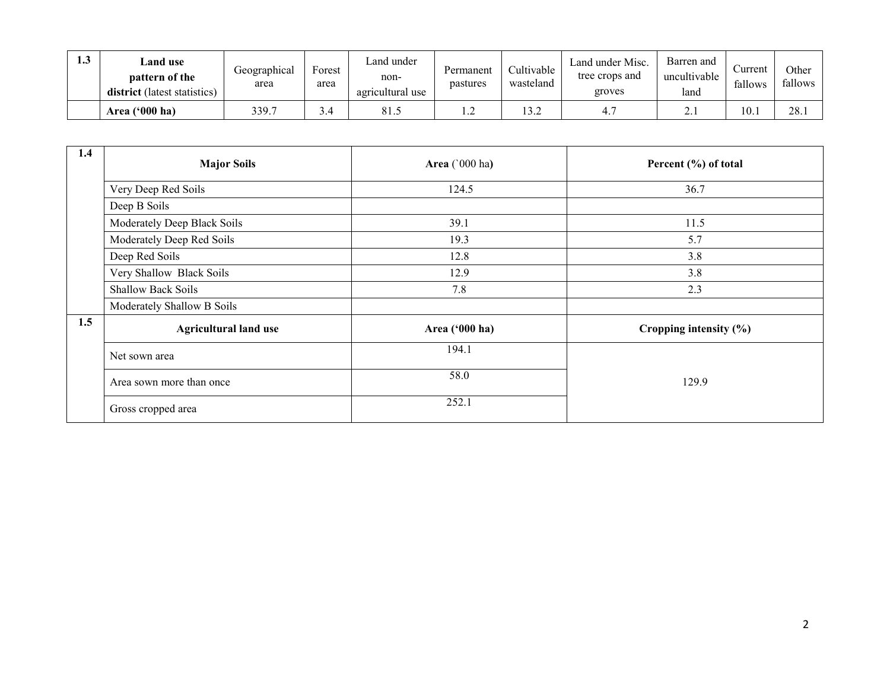| 1.3 | Land use<br>pattern of the<br><b>district</b> (latest statistics) | Geographical<br>area | $\blacksquare$<br>Forest<br>area | Land under<br>non-<br>agricultural use | Permanent<br>pastures | Cultivable<br>wasteland | Land under Misc.<br>tree crops and<br>groves | Barren and<br>uncultivable<br>land | ∠urrent<br>fallows | Other<br>fallows |
|-----|-------------------------------------------------------------------|----------------------|----------------------------------|----------------------------------------|-----------------------|-------------------------|----------------------------------------------|------------------------------------|--------------------|------------------|
|     | Area ('000 ha)                                                    | 339.7                | 3.4                              | 81.5                                   |                       | 12.2<br>1 J.Z           |                                              | <u>.</u>                           | 10.1               | 28.              |

| 1.4 | <b>Major Soils</b>           | Area (`000 ha) | Percent (%) of total       |
|-----|------------------------------|----------------|----------------------------|
|     | Very Deep Red Soils          | 124.5          | 36.7                       |
|     | Deep B Soils                 |                |                            |
|     | Moderately Deep Black Soils  | 39.1           | 11.5                       |
|     | Moderately Deep Red Soils    | 19.3           | 5.7                        |
|     | Deep Red Soils               | 12.8           | 3.8                        |
|     | Very Shallow Black Soils     | 12.9           | 3.8                        |
|     | <b>Shallow Back Soils</b>    | 7.8            | 2.3                        |
|     | Moderately Shallow B Soils   |                |                            |
| 1.5 | <b>Agricultural land use</b> | Area ('000 ha) | Cropping intensity $(\% )$ |
|     | Net sown area                | 194.1          |                            |
|     | Area sown more than once     | 58.0           | 129.9                      |
|     | Gross cropped area           | 252.1          |                            |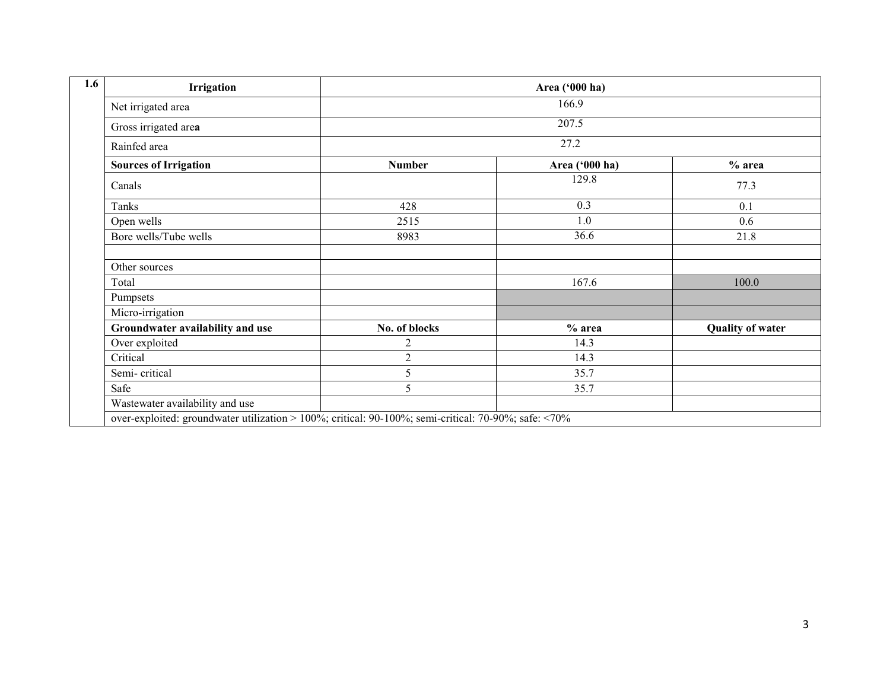| Irrigation                       |                | Area ('000 ha) |                         |
|----------------------------------|----------------|----------------|-------------------------|
| Net irrigated area               |                | 166.9          |                         |
| Gross irrigated area             |                | 207.5          |                         |
| Rainfed area                     |                | 27.2           |                         |
| <b>Sources of Irrigation</b>     | <b>Number</b>  | Area ('000 ha) | $%$ area                |
| Canals                           |                | 129.8          | 77.3                    |
| Tanks                            | 428            | 0.3            | 0.1                     |
| Open wells                       | 2515           | 1.0            | 0.6                     |
| Bore wells/Tube wells            | 8983           | 36.6           | 21.8                    |
| Other sources                    |                |                |                         |
| Total                            |                | 167.6          | 100.0                   |
| Pumpsets                         |                |                |                         |
| Micro-irrigation                 |                |                |                         |
| Groundwater availability and use | No. of blocks  | $%$ area       | <b>Quality of water</b> |
| Over exploited                   | 2              | 14.3           |                         |
| Critical                         | $\overline{c}$ | 14.3           |                         |
| Semi-critical                    | 5              | 35.7           |                         |
| Safe                             | 5              | 35.7           |                         |
| Wastewater availability and use  |                |                |                         |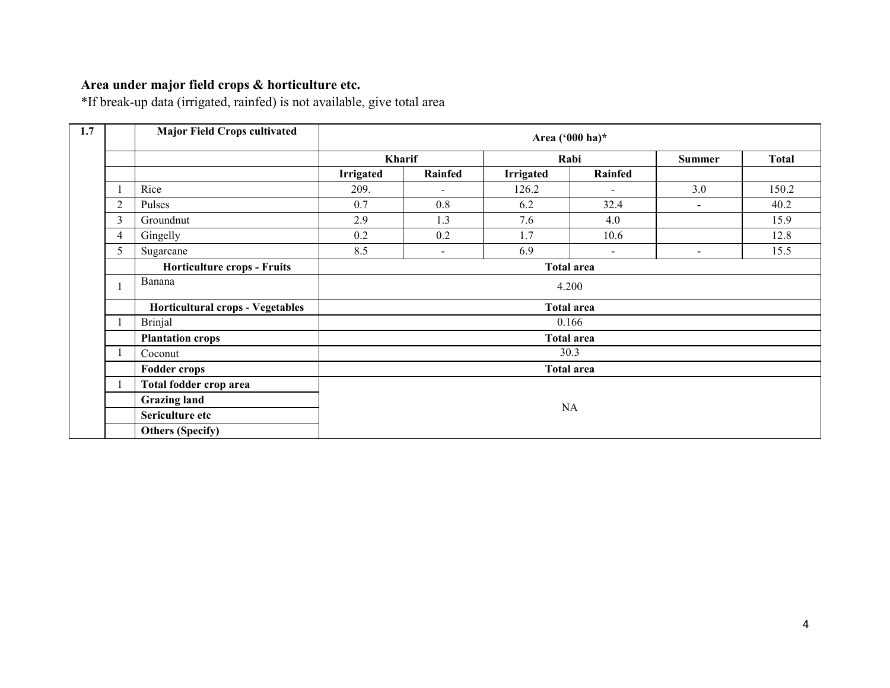# Area under major field crops & horticulture etc.

\*If break-up data (irrigated, rainfed) is not available, give total area

| 1.7 |                | <b>Major Field Crops cultivated</b> |           |                          | Area ('000 ha)*   |                          |                |       |  |  |
|-----|----------------|-------------------------------------|-----------|--------------------------|-------------------|--------------------------|----------------|-------|--|--|
|     |                |                                     | Kharif    |                          |                   | Rabi                     | <b>Summer</b>  | Total |  |  |
|     |                |                                     | Irrigated | Rainfed                  | Irrigated         | Rainfed                  |                |       |  |  |
|     |                | Rice                                | 209.      | $\overline{\phantom{a}}$ | 126.2             |                          | 3.0            | 150.2 |  |  |
|     | $\overline{2}$ | Pulses                              | 0.7       | 0.8                      | 6.2               | 32.4                     | $\blacksquare$ | 40.2  |  |  |
|     | $\mathfrak{Z}$ | Groundnut                           | 2.9       | 1.3                      | 7.6               | 4.0                      |                | 15.9  |  |  |
|     | 4              | Gingelly                            | 0.2       | 0.2                      | 1.7               | 10.6                     |                | 12.8  |  |  |
|     | 5              | Sugarcane                           | 8.5       | $\blacksquare$           | 6.9               | $\overline{\phantom{a}}$ | $\sim$         | 15.5  |  |  |
|     |                | <b>Horticulture crops - Fruits</b>  |           |                          | <b>Total area</b> |                          |                |       |  |  |
|     |                | Banana                              | 4.200     |                          |                   |                          |                |       |  |  |
|     |                | Horticultural crops - Vegetables    |           |                          | <b>Total area</b> |                          |                |       |  |  |
|     |                | <b>Brinjal</b>                      |           |                          | 0.166             |                          |                |       |  |  |
|     |                | <b>Plantation crops</b>             |           |                          | <b>Total area</b> |                          |                |       |  |  |
|     |                | Coconut                             |           |                          | 30.3              |                          |                |       |  |  |
|     |                | <b>Fodder crops</b>                 |           |                          | <b>Total area</b> |                          |                |       |  |  |
|     |                | Total fodder crop area              |           |                          |                   |                          |                |       |  |  |
|     |                | <b>Grazing land</b>                 |           |                          |                   |                          |                |       |  |  |
|     |                | Sericulture etc                     |           |                          |                   | NA                       |                |       |  |  |
|     |                | <b>Others (Specify)</b>             |           |                          |                   |                          |                |       |  |  |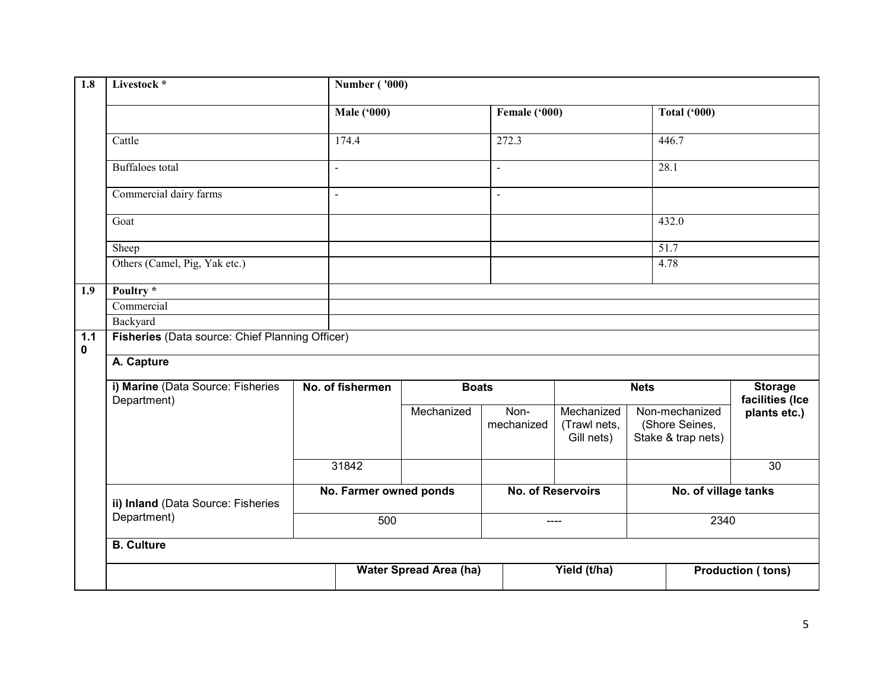| 1.8              | Livestock *                                      |  | <b>Number ('000)</b>   |                               |                    |                                          |  |                                                        |                                   |
|------------------|--------------------------------------------------|--|------------------------|-------------------------------|--------------------|------------------------------------------|--|--------------------------------------------------------|-----------------------------------|
|                  |                                                  |  | <b>Male ('000)</b>     |                               | Female ('000)      |                                          |  | <b>Total ('000)</b>                                    |                                   |
|                  | Cattle                                           |  | 174.4                  |                               | 272.3              |                                          |  |                                                        |                                   |
|                  | <b>Buffaloes</b> total                           |  | $\blacksquare$         |                               | $\overline{a}$     |                                          |  | 28.1                                                   |                                   |
|                  | Commercial dairy farms                           |  | $\blacksquare$         |                               | $\overline{a}$     |                                          |  |                                                        |                                   |
|                  | Goat                                             |  |                        |                               |                    |                                          |  | 432.0                                                  |                                   |
|                  | Sheep                                            |  |                        |                               |                    |                                          |  | 51.7                                                   |                                   |
|                  | Others (Camel, Pig, Yak etc.)                    |  |                        |                               |                    |                                          |  | 4.78                                                   |                                   |
| 1.9              | Poultry *                                        |  |                        |                               |                    |                                          |  |                                                        |                                   |
|                  | Commercial                                       |  |                        |                               |                    |                                          |  |                                                        |                                   |
|                  | Backyard                                         |  |                        |                               |                    |                                          |  |                                                        |                                   |
| 1.1<br>$\pmb{0}$ | Fisheries (Data source: Chief Planning Officer)  |  |                        |                               |                    |                                          |  |                                                        |                                   |
|                  | A. Capture                                       |  |                        |                               |                    |                                          |  |                                                        |                                   |
|                  | i) Marine (Data Source: Fisheries<br>Department) |  | No. of fishermen       | <b>Boats</b>                  |                    | <b>Nets</b>                              |  |                                                        | <b>Storage</b><br>facilities (Ice |
|                  |                                                  |  |                        | Mechanized                    | Non-<br>mechanized | Mechanized<br>(Trawl nets,<br>Gill nets) |  | Non-mechanized<br>(Shore Seines,<br>Stake & trap nets) | plants etc.)                      |
|                  |                                                  |  | 31842                  |                               |                    |                                          |  |                                                        | $\overline{30}$                   |
|                  | ii) Inland (Data Source: Fisheries               |  | No. Farmer owned ponds |                               |                    | No. of Reservoirs                        |  | No. of village tanks                                   |                                   |
|                  | Department)                                      |  | 500                    |                               |                    | ----                                     |  | 2340                                                   |                                   |
|                  | <b>B.</b> Culture                                |  |                        |                               |                    |                                          |  |                                                        |                                   |
|                  |                                                  |  |                        | <b>Water Spread Area (ha)</b> | Yield (t/ha)       |                                          |  | <b>Production (tons)</b>                               |                                   |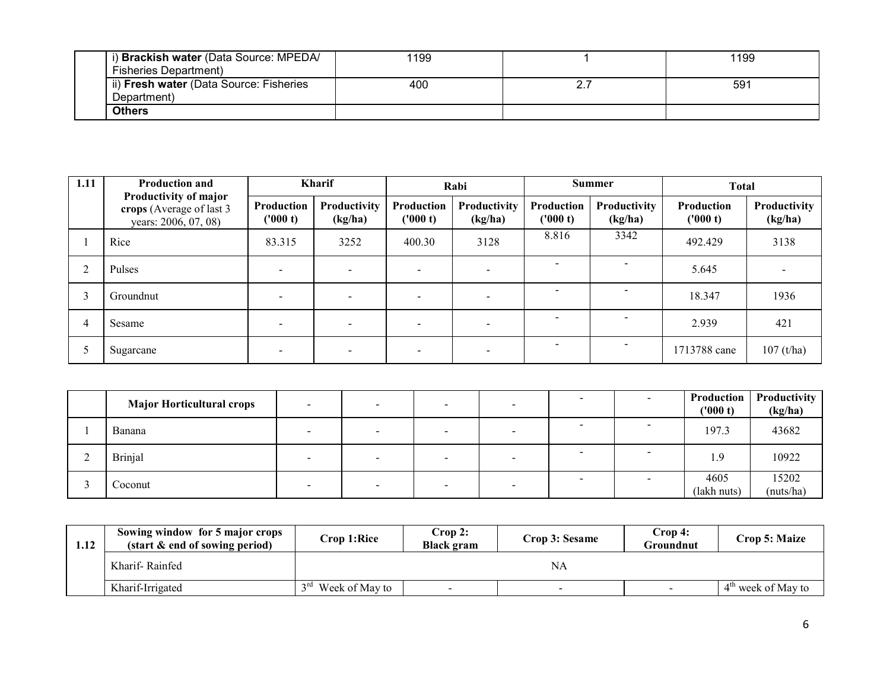| i) Brackish water (Data Source: MPEDA/  | 1199 | 1199 |
|-----------------------------------------|------|------|
| <b>Fisheries Department)</b>            |      |      |
| ii) Fresh water (Data Source: Fisheries | 400  | 591  |
| Department)                             |      |      |
| <b>Others</b>                           |      |      |

| 1.11   | <b>Production and</b>                                                      |                          | <b>Kharif</b>           |                        | Rabi                    |                          | <b>Summer</b>            |                        | <b>Total</b>                   |
|--------|----------------------------------------------------------------------------|--------------------------|-------------------------|------------------------|-------------------------|--------------------------|--------------------------|------------------------|--------------------------------|
|        | Productivity of major<br>crops (Average of last 3)<br>years: 2006, 07, 08) | Production<br>('000 t)   | Productivity<br>(kg/ha) | Production<br>('000 t) | Productivity<br>(kg/ha) | Production<br>(1000 t)   | Productivity<br>(kg/ha)  | Production<br>('000 t) | <b>Productivity</b><br>(kg/ha) |
|        | Rice                                                                       | 83.315                   | 3252                    | 400.30                 | 3128                    | 8.816                    | 3342                     | 492.429                | 3138                           |
| $\sim$ | Pulses                                                                     | $\overline{\phantom{a}}$ |                         |                        |                         | $\overline{\phantom{a}}$ | $\overline{\phantom{0}}$ | 5.645                  |                                |
|        | Groundnut                                                                  |                          |                         |                        |                         |                          |                          | 18.347                 | 1936                           |
| 4      | Sesame                                                                     | $\overline{\phantom{0}}$ |                         |                        |                         | $\overline{\phantom{a}}$ | $\overline{\phantom{0}}$ | 2.939                  | 421                            |
|        | Sugarcane                                                                  |                          |                         |                        |                         | $\overline{\phantom{a}}$ | $\overline{\phantom{0}}$ | 1713788 cane           | $107$ (t/ha)                   |

| <b>Major Horticultural crops</b> |                          |                          |  | Production<br>('000 t) | Productivity<br>(kg/ha) |
|----------------------------------|--------------------------|--------------------------|--|------------------------|-------------------------|
| Banana                           | $\overline{\phantom{a}}$ | $\overline{\phantom{a}}$ |  | 197.3                  | 43682                   |
| <b>Brinjal</b>                   |                          |                          |  | 1.9                    | 10922                   |
| Coconut                          |                          | $\overline{\phantom{0}}$ |  | 4605<br>(lakh nuts)    | 15202<br>(nuts/ha)      |

| 1.12 | Sowing window for 5 major crops<br>(start & end of sowing period) | Crop 1:Rice                    | Crop 2:<br><b>Black gram</b> | Crop 3: Sesame | Crop 4:<br>Groundnut | Crop 5: Maize                  |
|------|-------------------------------------------------------------------|--------------------------------|------------------------------|----------------|----------------------|--------------------------------|
|      | Kharif-Rainfed                                                    |                                |                              | NA             |                      |                                |
|      | Kharif-Irrigated                                                  | 3 <sup>rd</sup> Week of May to | $\,$                         |                | $\sim$               | 4 <sup>th</sup> week of May to |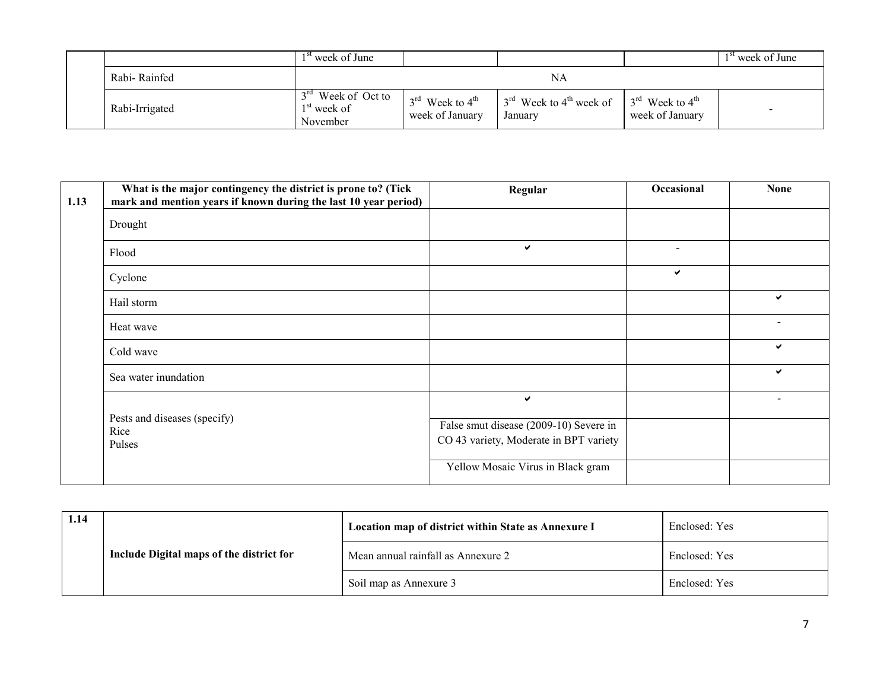|  |                | <sup>st</sup> week of June                                            |                                                            |                                                            |                                                            | $1st$ week of June |
|--|----------------|-----------------------------------------------------------------------|------------------------------------------------------------|------------------------------------------------------------|------------------------------------------------------------|--------------------|
|  | Rabi-Rainfed   |                                                                       |                                                            | NA                                                         |                                                            |                    |
|  | Rabi-Irrigated | 3 <sup>rd</sup> Week of Oct to<br>1 <sup>st</sup> week of<br>November | $3^{\text{rd}}$ Week to $4^{\text{th}}$<br>week of January | $3^{\text{rd}}$ Week to 4 <sup>th</sup> week of<br>Januarv | $3^{\text{rd}}$ Week to $4^{\text{th}}$<br>week of January | -                  |

| 1.13 | What is the major contingency the district is prone to? (Tick<br>mark and mention years if known during the last 10 year period) | Regular                                                                          | Occasional               | <b>None</b>  |
|------|----------------------------------------------------------------------------------------------------------------------------------|----------------------------------------------------------------------------------|--------------------------|--------------|
|      | Drought                                                                                                                          |                                                                                  |                          |              |
|      | Flood                                                                                                                            | ✓                                                                                | $\overline{\phantom{a}}$ |              |
|      | Cyclone                                                                                                                          |                                                                                  | ✔                        |              |
|      | Hail storm                                                                                                                       |                                                                                  |                          | ✓            |
|      | Heat wave                                                                                                                        |                                                                                  |                          |              |
|      | Cold wave                                                                                                                        |                                                                                  |                          | $\checkmark$ |
|      | Sea water inundation                                                                                                             |                                                                                  |                          | ✓            |
|      |                                                                                                                                  | ✔                                                                                |                          |              |
|      | Pests and diseases (specify)<br>Rice<br>Pulses                                                                                   | False smut disease (2009-10) Severe in<br>CO 43 variety, Moderate in BPT variety |                          |              |
|      |                                                                                                                                  | Yellow Mosaic Virus in Black gram                                                |                          |              |

| 1.14 |                                          | Location map of district within State as Annexure I | Enclosed: Yes |
|------|------------------------------------------|-----------------------------------------------------|---------------|
|      | Include Digital maps of the district for | Mean annual rainfall as Annexure 2                  | Enclosed: Yes |
|      |                                          | Soil map as Annexure 3                              | Enclosed: Yes |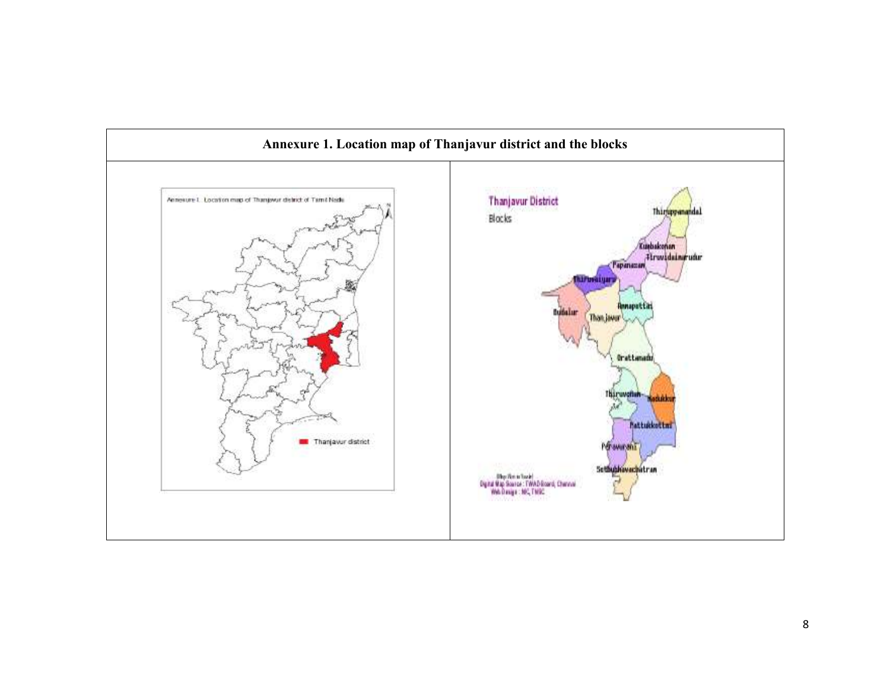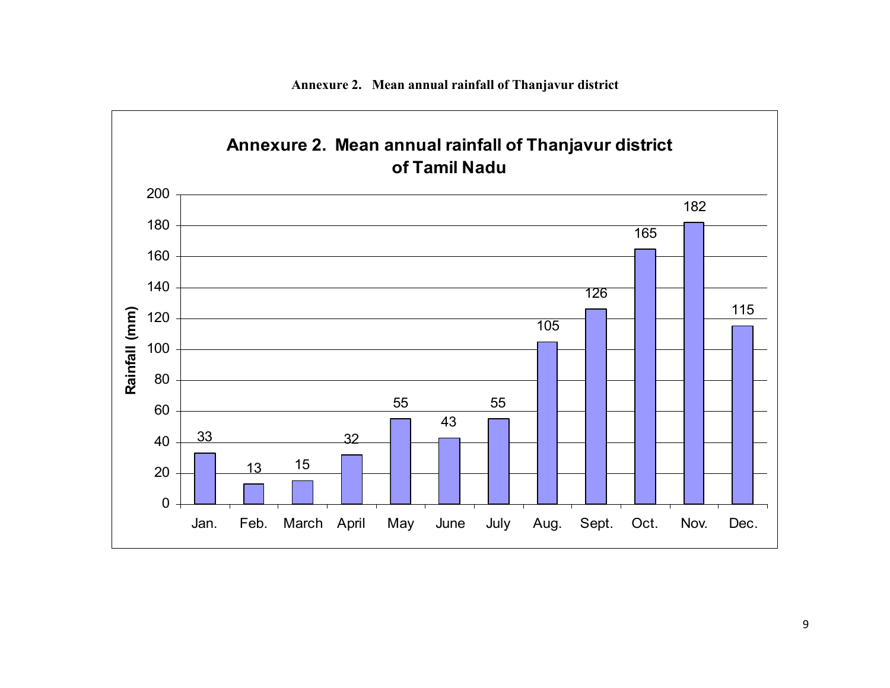

Annexure 2. Mean annual rainfall of Thanjavur district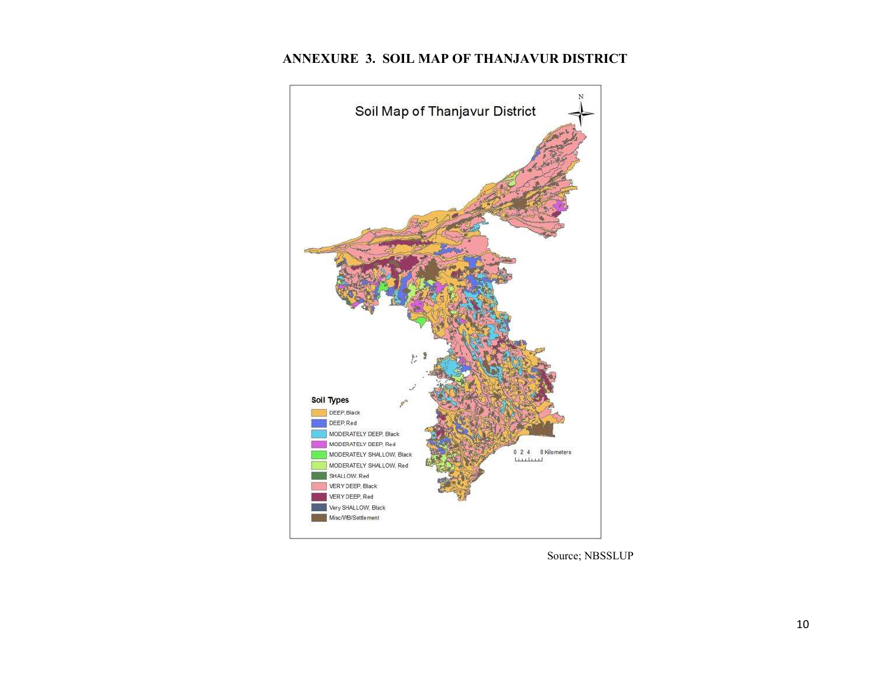# ANNEXURE 3. SOIL MAP OF THANJAVUR DISTRICT



Source; NBSSLUP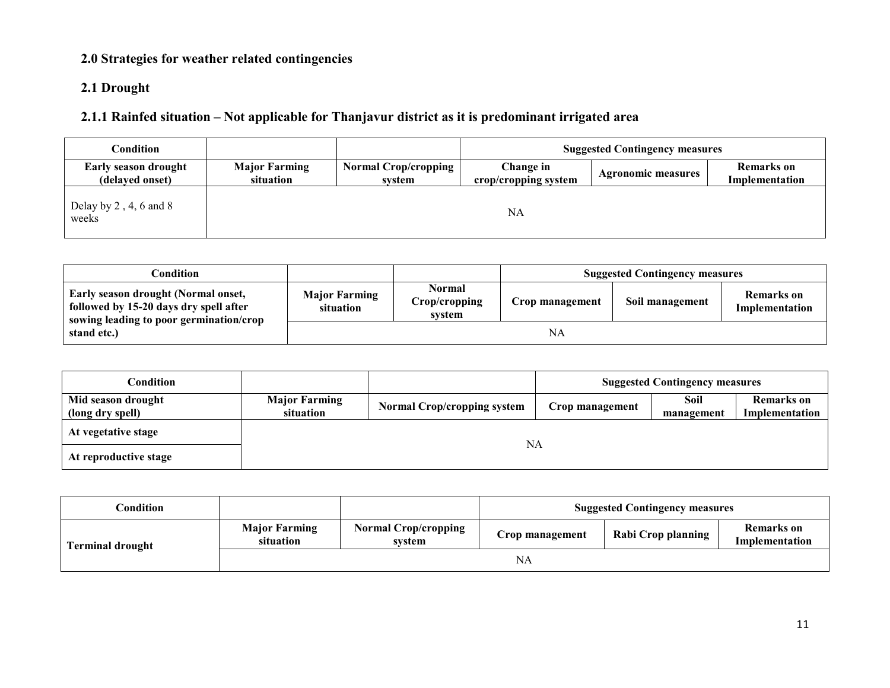## 2.0 Strategies for weather related contingencies

### 2.1 Drought

### 2.1.1 Rainfed situation – Not applicable for Thanjavur district as it is predominant irrigated area

| <b>Condition</b>                          |                                   |                                       |                                   | <b>Suggested Contingency measures</b> |                                     |
|-------------------------------------------|-----------------------------------|---------------------------------------|-----------------------------------|---------------------------------------|-------------------------------------|
| Early season drought<br>(delayed onset)   | <b>Major Farming</b><br>situation | <b>Normal Crop/cropping</b><br>system | Change in<br>crop/cropping system | Agronomic measures                    | <b>Remarks</b> on<br>Implementation |
| Delay by $2$ , $4$ , $6$ and $8$<br>weeks |                                   |                                       | NA                                |                                       |                                     |

| $\cap$ ondition:                                                                                                         |                                   |                                          |                 | <b>Suggested Contingency measures</b> |                                     |
|--------------------------------------------------------------------------------------------------------------------------|-----------------------------------|------------------------------------------|-----------------|---------------------------------------|-------------------------------------|
| Early season drought (Normal onset,<br>followed by 15-20 days dry spell after<br>sowing leading to poor germination/crop | <b>Major Farming</b><br>situation | <b>Normal</b><br>Crop/cropping<br>system | Crop management | Soil management                       | <b>Remarks</b> on<br>Implementation |
| stand etc.)                                                                                                              |                                   |                                          | NA              |                                       |                                     |

| Condition                              |                                   |                                    |                 | <b>Suggested Contingency measures</b> |                                     |
|----------------------------------------|-----------------------------------|------------------------------------|-----------------|---------------------------------------|-------------------------------------|
| Mid season drought<br>(long dry spell) | <b>Major Farming</b><br>situation | <b>Normal Crop/cropping system</b> | Crop management | Soil<br>management                    | <b>Remarks</b> on<br>Implementation |
| At vegetative stage                    |                                   |                                    |                 |                                       |                                     |
| At reproductive stage                  | NA                                |                                    |                 |                                       |                                     |

| $\complement$ ondition  |                                   |                                       | <b>Suggested Contingency measures</b> |                    |                                     |  |
|-------------------------|-----------------------------------|---------------------------------------|---------------------------------------|--------------------|-------------------------------------|--|
| <b>Terminal drought</b> | <b>Major Farming</b><br>situation | <b>Normal Crop/cropping</b><br>system | Crop management                       | Rabi Crop planning | <b>Remarks</b> on<br>Implementation |  |
|                         |                                   |                                       | <b>NA</b>                             |                    |                                     |  |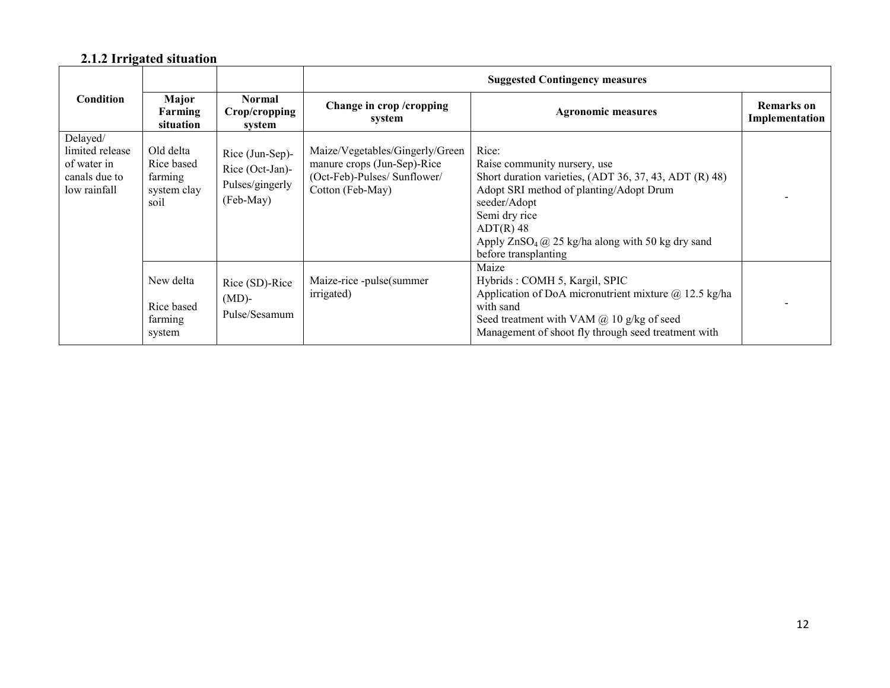#### 2.1.2 Irrigated situation

|                                                                             |                                                           |                                                                    | <b>Suggested Contingency measures</b>                                                                              |                                                                                                                                                                                                                                                                                      |                                     |  |  |
|-----------------------------------------------------------------------------|-----------------------------------------------------------|--------------------------------------------------------------------|--------------------------------------------------------------------------------------------------------------------|--------------------------------------------------------------------------------------------------------------------------------------------------------------------------------------------------------------------------------------------------------------------------------------|-------------------------------------|--|--|
| <b>Condition</b>                                                            | Major<br>Farming<br>situation                             | <b>Normal</b><br>Crop/cropping<br>system                           | Change in crop/cropping<br>system                                                                                  | <b>Agronomic measures</b>                                                                                                                                                                                                                                                            | <b>Remarks</b> on<br>Implementation |  |  |
| Delayed/<br>limited release<br>of water in<br>canals due to<br>low rainfall | Old delta<br>Rice based<br>farming<br>system clay<br>soil | Rice (Jun-Sep)-<br>Rice (Oct-Jan)-<br>Pulses/gingerly<br>(Feb-May) | Maize/Vegetables/Gingerly/Green<br>manure crops (Jun-Sep)-Rice<br>(Oct-Feb)-Pulses/ Sunflower/<br>Cotton (Feb-May) | Rice:<br>Raise community nursery, use<br>Short duration varieties, (ADT 36, 37, 43, ADT (R) 48)<br>Adopt SRI method of planting/Adopt Drum<br>seeder/Adopt<br>Semi dry rice<br>$ADT(R)$ 48<br>Apply $ZnSO_4$ ( $\alpha$ ) 25 kg/ha along with 50 kg dry sand<br>before transplanting |                                     |  |  |
|                                                                             | New delta<br>Rice based<br>farming<br>system              | Rice (SD)-Rice<br>$(MD)$ -<br>Pulse/Sesamum                        | Maize-rice -pulse(summer<br>irrigated)                                                                             | Maize<br>Hybrids: COMH 5, Kargil, SPIC<br>Application of DoA micronutrient mixture $(a)$ 12.5 kg/ha<br>with sand<br>Seed treatment with VAM $(a)$ 10 g/kg of seed<br>Management of shoot fly through seed treatment with                                                             |                                     |  |  |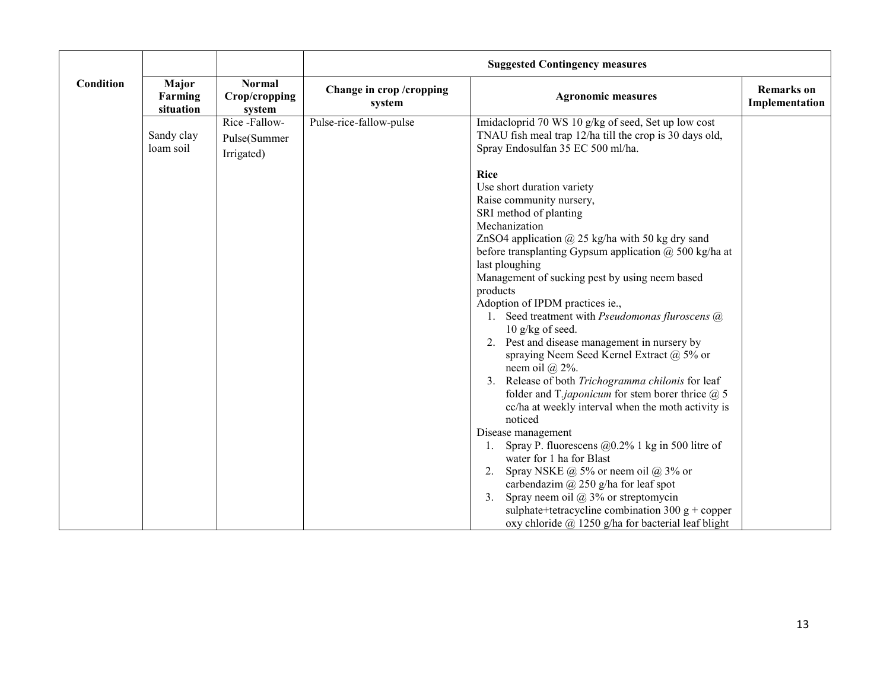|           |                               |                                          | <b>Suggested Contingency measures</b> |                                                                                                                                                                                                                                                                                                                                                                                                                                                                                                                                                                                                                                                                                                                                                                                                                                                                                                                                                                                                                                                                                                                                  |                                     |  |
|-----------|-------------------------------|------------------------------------------|---------------------------------------|----------------------------------------------------------------------------------------------------------------------------------------------------------------------------------------------------------------------------------------------------------------------------------------------------------------------------------------------------------------------------------------------------------------------------------------------------------------------------------------------------------------------------------------------------------------------------------------------------------------------------------------------------------------------------------------------------------------------------------------------------------------------------------------------------------------------------------------------------------------------------------------------------------------------------------------------------------------------------------------------------------------------------------------------------------------------------------------------------------------------------------|-------------------------------------|--|
| Condition | Major<br>Farming<br>situation | <b>Normal</b><br>Crop/cropping<br>system | Change in crop/cropping<br>system     | <b>Agronomic measures</b>                                                                                                                                                                                                                                                                                                                                                                                                                                                                                                                                                                                                                                                                                                                                                                                                                                                                                                                                                                                                                                                                                                        | <b>Remarks</b> on<br>Implementation |  |
|           | Sandy clay                    | Rice-Fallow-<br>Pulse(Summer             | Pulse-rice-fallow-pulse               | Imidacloprid 70 WS 10 g/kg of seed, Set up low cost<br>TNAU fish meal trap 12/ha till the crop is 30 days old,                                                                                                                                                                                                                                                                                                                                                                                                                                                                                                                                                                                                                                                                                                                                                                                                                                                                                                                                                                                                                   |                                     |  |
|           | loam soil                     | Irrigated)                               |                                       | Spray Endosulfan 35 EC 500 ml/ha.                                                                                                                                                                                                                                                                                                                                                                                                                                                                                                                                                                                                                                                                                                                                                                                                                                                                                                                                                                                                                                                                                                |                                     |  |
|           |                               |                                          |                                       | Rice<br>Use short duration variety<br>Raise community nursery,<br>SRI method of planting<br>Mechanization<br>ZnSO4 application $\omega$ 25 kg/ha with 50 kg dry sand<br>before transplanting Gypsum application $(a)$ 500 kg/ha at<br>last ploughing<br>Management of sucking pest by using neem based<br>products<br>Adoption of IPDM practices ie.,<br>1. Seed treatment with Pseudomonas fluroscens @<br>$10$ g/kg of seed.<br>2. Pest and disease management in nursery by<br>spraying Neem Seed Kernel Extract @ 5% or<br>neem oil $(a)$ 2%.<br>3. Release of both Trichogramma chilonis for leaf<br>folder and T.japonicum for stem borer thrice $(2)$ , 5<br>cc/ha at weekly interval when the moth activity is<br>noticed<br>Disease management<br>Spray P. fluorescens $@0.2\%$ 1 kg in 500 litre of<br>water for 1 ha for Blast<br>Spray NSKE $\omega$ 5% or neem oil $\omega$ 3% or<br>carbendazim $\omega$ 250 g/ha for leaf spot<br>3 <sub>1</sub><br>Spray neem oil $\omega$ 3% or streptomycin<br>sulphate+tetracycline combination 300 $g$ + copper<br>oxy chloride $\omega$ 1250 g/ha for bacterial leaf blight |                                     |  |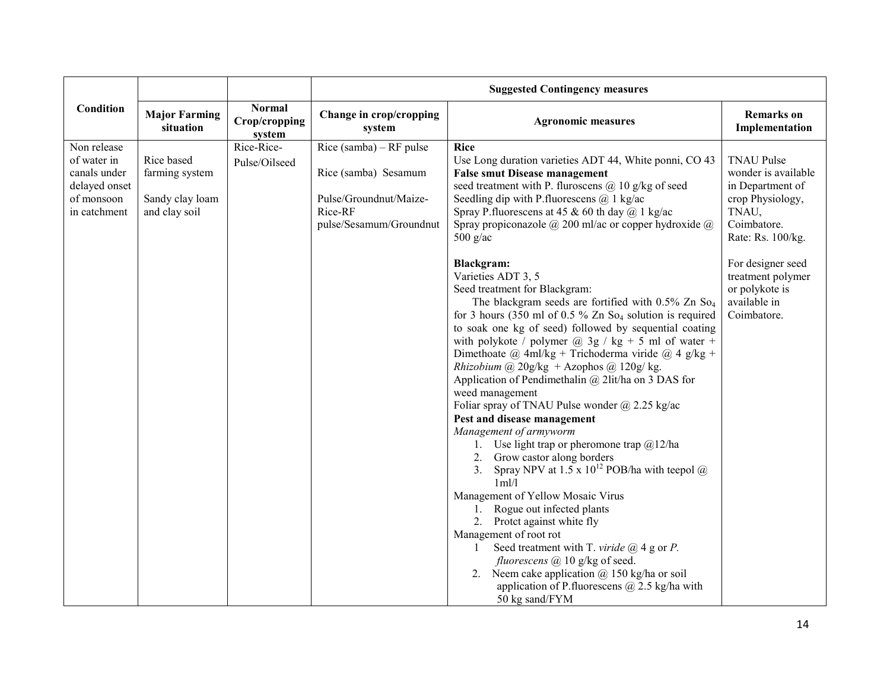|                                                                                           |                                                                  |                                          |                                                                                                                 | <b>Suggested Contingency measures</b>                                                                                                                                                                                                                                                                                                                                                                                                                                                                                                                                                                                                                                                                                                                                                                                                                                                                                                                                                                                                                                                                                                                                      |                                                                                                                               |  |  |  |
|-------------------------------------------------------------------------------------------|------------------------------------------------------------------|------------------------------------------|-----------------------------------------------------------------------------------------------------------------|----------------------------------------------------------------------------------------------------------------------------------------------------------------------------------------------------------------------------------------------------------------------------------------------------------------------------------------------------------------------------------------------------------------------------------------------------------------------------------------------------------------------------------------------------------------------------------------------------------------------------------------------------------------------------------------------------------------------------------------------------------------------------------------------------------------------------------------------------------------------------------------------------------------------------------------------------------------------------------------------------------------------------------------------------------------------------------------------------------------------------------------------------------------------------|-------------------------------------------------------------------------------------------------------------------------------|--|--|--|
| Condition                                                                                 | <b>Major Farming</b><br>situation                                | <b>Normal</b><br>Crop/cropping<br>system | Change in crop/cropping<br>system                                                                               | <b>Agronomic measures</b>                                                                                                                                                                                                                                                                                                                                                                                                                                                                                                                                                                                                                                                                                                                                                                                                                                                                                                                                                                                                                                                                                                                                                  | <b>Remarks</b> on<br>Implementation                                                                                           |  |  |  |
| Non release<br>of water in<br>canals under<br>delayed onset<br>of monsoon<br>in catchment | Rice based<br>farming system<br>Sandy clay loam<br>and clay soil | Rice-Rice-<br>Pulse/Oilseed              | Rice (samba) – RF pulse<br>Rice (samba) Sesamum<br>Pulse/Groundnut/Maize-<br>Rice-RF<br>pulse/Sesamum/Groundnut | <b>Rice</b><br>Use Long duration varieties ADT 44, White ponni, CO 43<br><b>False smut Disease management</b><br>seed treatment with P. fluroscens $(a)$ 10 g/kg of seed<br>Seedling dip with P. fluorescens $(a)$ 1 kg/ac<br>Spray P. fluorescens at 45 & 60 th day $(a)$ 1 kg/ac<br>Spray propiconazole $\omega$ 200 ml/ac or copper hydroxide $\omega$<br>$500$ g/ac                                                                                                                                                                                                                                                                                                                                                                                                                                                                                                                                                                                                                                                                                                                                                                                                    | <b>TNAU Pulse</b><br>wonder is available<br>in Department of<br>crop Physiology,<br>TNAU,<br>Coimbatore.<br>Rate: Rs. 100/kg. |  |  |  |
|                                                                                           |                                                                  |                                          |                                                                                                                 | <b>Blackgram:</b><br>Varieties ADT 3, 5<br>Seed treatment for Blackgram:<br>The blackgram seeds are fortified with $0.5\%$ Zn So <sub>4</sub><br>for 3 hours (350 ml of 0.5 $\%$ Zn So <sub>4</sub> solution is required<br>to soak one kg of seed) followed by sequential coating<br>with polykote / polymer $(a)$ 3g / kg + 5 ml of water +<br>Dimethoate @ 4ml/kg + Trichoderma viride @ 4 g/kg +<br>Rhizobium @ 20g/kg + Azophos @ 120g/kg.<br>Application of Pendimethalin $(a)$ 2lit/ha on 3 DAS for<br>weed management<br>Foliar spray of TNAU Pulse wonder $\omega$ 2.25 kg/ac<br>Pest and disease management<br>Management of armyworm<br>1. Use light trap or pheromone trap $\omega/2$ ha<br>2. Grow castor along borders<br>Spray NPV at 1.5 x $10^{12}$ POB/ha with teepol $\omega$<br>3.<br>1ml/l<br>Management of Yellow Mosaic Virus<br>1. Rogue out infected plants<br>2. Protet against white fly<br>Management of root rot<br>Seed treatment with T. viride $\omega$ 4 g or P.<br>1<br>fluorescens @ 10 g/kg of seed.<br>2. Neem cake application $\omega$ 150 kg/ha or soil<br>application of P. fluorescens $\omega$ 2.5 kg/ha with<br>50 kg sand/FYM | For designer seed<br>treatment polymer<br>or polykote is<br>available in<br>Coimbatore.                                       |  |  |  |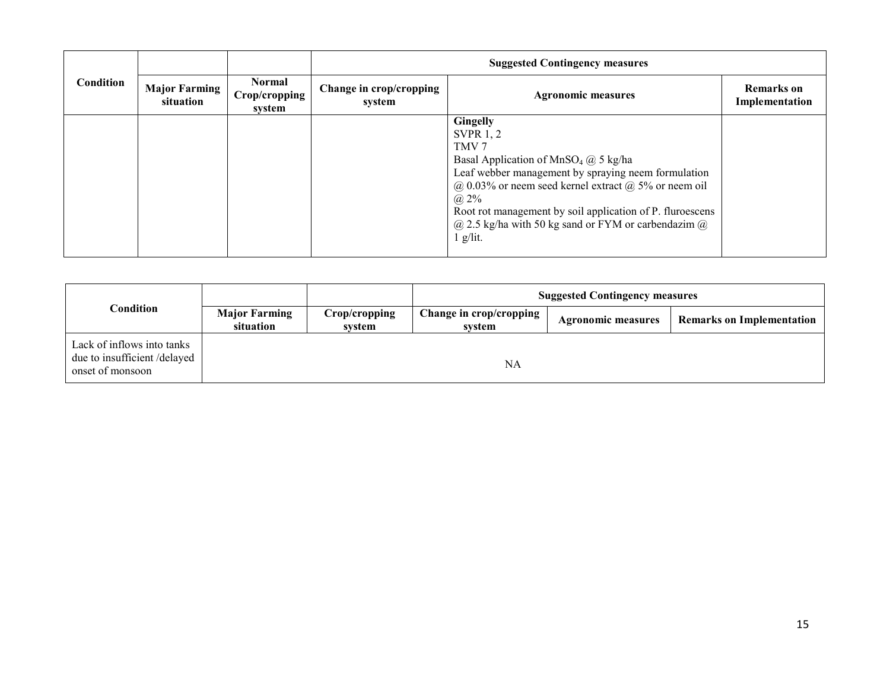|           |                                   |                                          | <b>Suggested Contingency measures</b> |                                                                                                                                                                                                                                                                                                                                                                                             |                                     |  |  |
|-----------|-----------------------------------|------------------------------------------|---------------------------------------|---------------------------------------------------------------------------------------------------------------------------------------------------------------------------------------------------------------------------------------------------------------------------------------------------------------------------------------------------------------------------------------------|-------------------------------------|--|--|
| Condition | <b>Major Farming</b><br>situation | <b>Normal</b><br>Crop/cropping<br>system | Change in crop/cropping<br>system     | <b>Agronomic measures</b>                                                                                                                                                                                                                                                                                                                                                                   | <b>Remarks</b> on<br>Implementation |  |  |
|           |                                   |                                          |                                       | <b>Gingelly</b><br><b>SVPR 1, 2</b><br>TMV <sub>7</sub><br>Basal Application of MnSO <sub>4</sub> @ 5 kg/ha<br>Leaf webber management by spraying neem formulation<br>$(a)$ 0.03% or neem seed kernel extract $(a)$ 5% or neem oil<br>$(a) 2\%$<br>Root rot management by soil application of P. fluroescens<br>$\omega$ 2.5 kg/ha with 50 kg sand or FYM or carbendazim $\omega$<br>g/lit. |                                     |  |  |

|                                                                               |                                   |                         | <b>Suggested Contingency measures</b> |                    |                                  |  |  |
|-------------------------------------------------------------------------------|-----------------------------------|-------------------------|---------------------------------------|--------------------|----------------------------------|--|--|
| Condition                                                                     | <b>Major Farming</b><br>situation | Crop/cropping<br>system | Change in crop/cropping<br>system     | Agronomic measures | <b>Remarks on Implementation</b> |  |  |
| Lack of inflows into tanks<br>due to insufficient/delayed<br>onset of monsoon |                                   |                         | NA                                    |                    |                                  |  |  |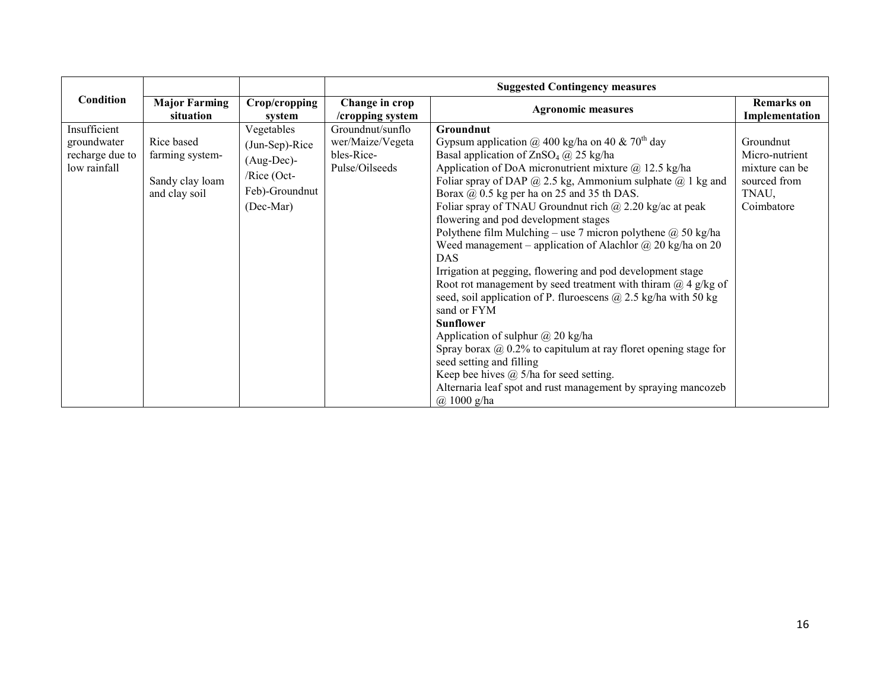|                                                                |                                                                   |                                                                                                | <b>Suggested Contingency measures</b>                                |                                                                                                                                                                                                                                                                                                                                                                                                                                                                                                                                                                                                                                                                                                                                                                                                                                                                                                                                                                                                                                                                                                                              |                                                                                      |
|----------------------------------------------------------------|-------------------------------------------------------------------|------------------------------------------------------------------------------------------------|----------------------------------------------------------------------|------------------------------------------------------------------------------------------------------------------------------------------------------------------------------------------------------------------------------------------------------------------------------------------------------------------------------------------------------------------------------------------------------------------------------------------------------------------------------------------------------------------------------------------------------------------------------------------------------------------------------------------------------------------------------------------------------------------------------------------------------------------------------------------------------------------------------------------------------------------------------------------------------------------------------------------------------------------------------------------------------------------------------------------------------------------------------------------------------------------------------|--------------------------------------------------------------------------------------|
| Condition                                                      | <b>Major Farming</b><br>situation                                 | Crop/cropping<br>system                                                                        | Change in crop<br>/cropping system                                   | <b>Agronomic measures</b>                                                                                                                                                                                                                                                                                                                                                                                                                                                                                                                                                                                                                                                                                                                                                                                                                                                                                                                                                                                                                                                                                                    | <b>Remarks</b> on<br>Implementation                                                  |
| Insufficient<br>groundwater<br>recharge due to<br>low rainfall | Rice based<br>farming system-<br>Sandy clay loam<br>and clay soil | Vegetables<br>(Jun-Sep)-Rice<br>$(Aug-Dec)$ -<br>$/$ Rice (Oct-<br>Feb)-Groundnut<br>(Dec-Mar) | Groundnut/sunflo<br>wer/Maize/Vegeta<br>bles-Rice-<br>Pulse/Oilseeds | Groundnut<br>Gypsum application @ 400 kg/ha on 40 & 70 <sup>th</sup> day<br>Basal application of $ZnSO_4$ ( $\ddot{\omega}$ ) 25 kg/ha<br>Application of DoA micronutrient mixture @ 12.5 kg/ha<br>Foliar spray of DAP $@$ 2.5 kg, Ammonium sulphate $@$ 1 kg and<br>Borax $\omega$ , 0.5 kg per ha on 25 and 35 th DAS.<br>Foliar spray of TNAU Groundnut rich $\omega$ 2.20 kg/ac at peak<br>flowering and pod development stages<br>Polythene film Mulching – use 7 micron polythene $@$ 50 kg/ha<br>Weed management – application of Alachlor $\omega$ 20 kg/ha on 20<br><b>DAS</b><br>Irrigation at pegging, flowering and pod development stage<br>Root rot management by seed treatment with thiram $\omega$ 4 g/kg of<br>seed, soil application of P. fluroescens $(a)$ 2.5 kg/ha with 50 kg<br>sand or FYM<br><b>Sunflower</b><br>Application of sulphur $\omega$ 20 kg/ha<br>Spray borax $\omega$ 0.2% to capitulum at ray floret opening stage for<br>seed setting and filling<br>Keep bee hives $(a)$ 5/ha for seed setting.<br>Alternaria leaf spot and rust management by spraying mancozeb<br>$(a)$ 1000 g/ha | Groundnut<br>Micro-nutrient<br>mixture can be<br>sourced from<br>TNAU,<br>Coimbatore |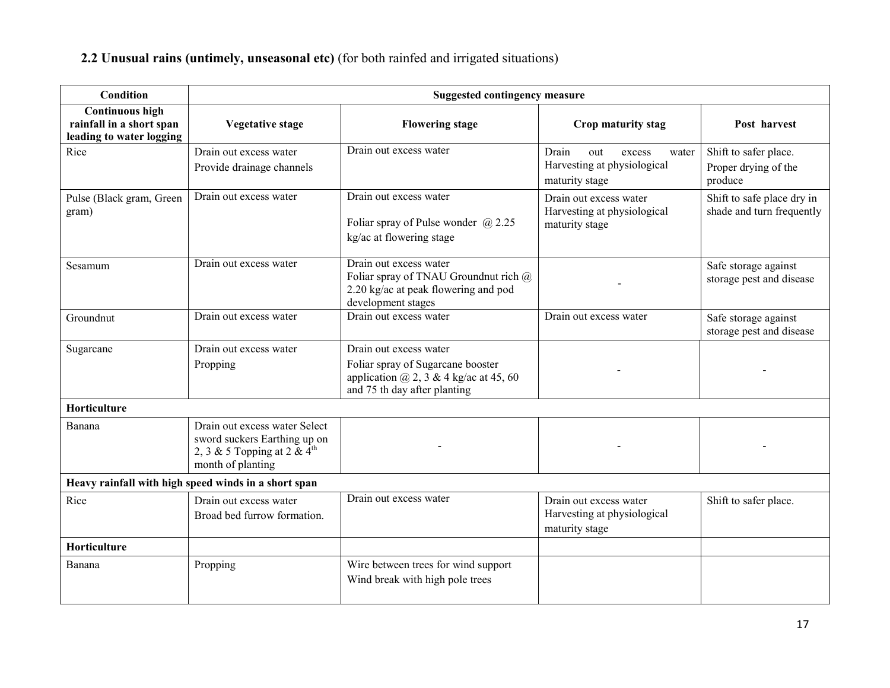#### 2.2 Unusual rains (untimely, unseasonal etc) (for both rainfed and irrigated situations)

| <b>Condition</b>                                                               | <b>Suggested contingency measure</b>                                                                                          |                                                                                                                                                |                                                                                  |                                                          |  |  |  |
|--------------------------------------------------------------------------------|-------------------------------------------------------------------------------------------------------------------------------|------------------------------------------------------------------------------------------------------------------------------------------------|----------------------------------------------------------------------------------|----------------------------------------------------------|--|--|--|
| <b>Continuous high</b><br>rainfall in a short span<br>leading to water logging | Vegetative stage                                                                                                              | <b>Flowering stage</b>                                                                                                                         | Crop maturity stag                                                               | Post harvest                                             |  |  |  |
| Rice                                                                           | Drain out excess water<br>Provide drainage channels                                                                           | Drain out excess water                                                                                                                         | Drain<br>out<br>excess<br>water<br>Harvesting at physiological<br>maturity stage | Shift to safer place.<br>Proper drying of the<br>produce |  |  |  |
| Pulse (Black gram, Green<br>gram)                                              | Drain out excess water                                                                                                        | Drain out excess water<br>Foliar spray of Pulse wonder $@2.25$<br>kg/ac at flowering stage                                                     | Drain out excess water<br>Harvesting at physiological<br>maturity stage          | Shift to safe place dry in<br>shade and turn frequently  |  |  |  |
| Sesamum                                                                        | Drain out excess water                                                                                                        | Drain out excess water<br>Foliar spray of TNAU Groundnut rich @<br>2.20 kg/ac at peak flowering and pod<br>development stages                  |                                                                                  | Safe storage against<br>storage pest and disease         |  |  |  |
| Groundnut                                                                      | Drain out excess water                                                                                                        | Drain out excess water                                                                                                                         | Drain out excess water                                                           | Safe storage against<br>storage pest and disease         |  |  |  |
| Sugarcane                                                                      | Drain out excess water<br>Propping                                                                                            | Drain out excess water<br>Foliar spray of Sugarcane booster<br>application $\omega$ , 2, 3 & 4 kg/ac at 45, 60<br>and 75 th day after planting |                                                                                  |                                                          |  |  |  |
| Horticulture                                                                   |                                                                                                                               |                                                                                                                                                |                                                                                  |                                                          |  |  |  |
| Banana                                                                         | Drain out excess water Select<br>sword suckers Earthing up on<br>2, 3 & 5 Topping at 2 & $4^{\text{th}}$<br>month of planting |                                                                                                                                                |                                                                                  |                                                          |  |  |  |
|                                                                                | Heavy rainfall with high speed winds in a short span                                                                          |                                                                                                                                                |                                                                                  |                                                          |  |  |  |
| Rice                                                                           | Drain out excess water<br>Broad bed furrow formation.                                                                         | Drain out excess water                                                                                                                         | Drain out excess water<br>Harvesting at physiological<br>maturity stage          | Shift to safer place.                                    |  |  |  |
| Horticulture                                                                   |                                                                                                                               |                                                                                                                                                |                                                                                  |                                                          |  |  |  |
| Banana                                                                         | Propping                                                                                                                      | Wire between trees for wind support<br>Wind break with high pole trees                                                                         |                                                                                  |                                                          |  |  |  |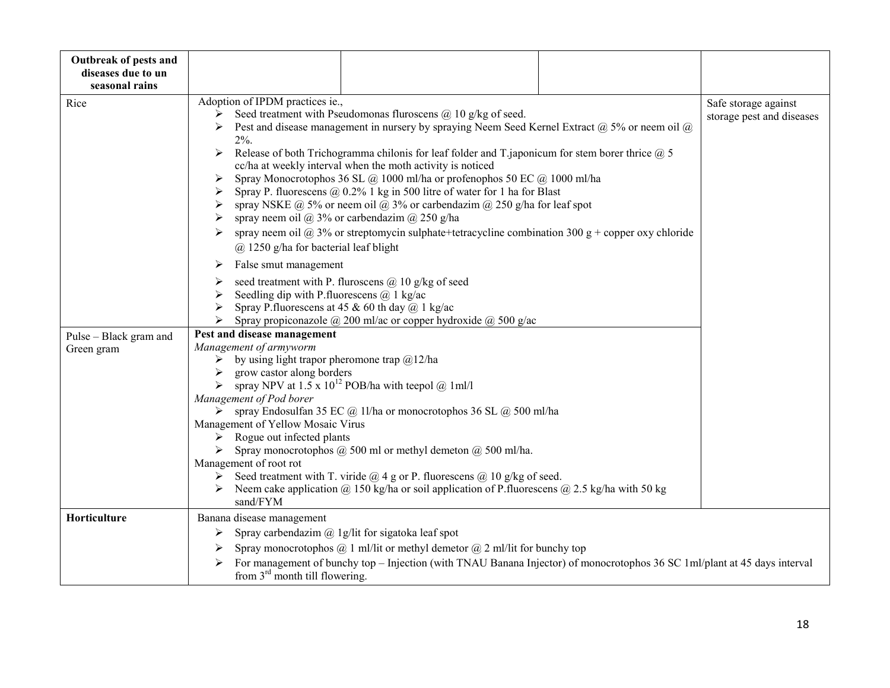| Outbreak of pests and<br>diseases due to un<br>seasonal rains |                                                                                                                                                                                                                                                                                                                                                                                                                                                                                                                                                                                                                                                                                                                                                                                                                                                                                                                                                                          |  |
|---------------------------------------------------------------|--------------------------------------------------------------------------------------------------------------------------------------------------------------------------------------------------------------------------------------------------------------------------------------------------------------------------------------------------------------------------------------------------------------------------------------------------------------------------------------------------------------------------------------------------------------------------------------------------------------------------------------------------------------------------------------------------------------------------------------------------------------------------------------------------------------------------------------------------------------------------------------------------------------------------------------------------------------------------|--|
| Rice                                                          | Adoption of IPDM practices ie.,<br>Safe storage against<br>Seed treatment with Pseudomonas fluroscens $(a)$ 10 g/kg of seed.<br>➤<br>storage pest and diseases<br>Pest and disease management in nursery by spraying Neem Seed Kernel Extract $(a)$ 5% or neem oil $(a)$<br>$2\%$ .<br>Release of both Trichogramma chilonis for leaf folder and T japonicum for stem borer thrice $\omega$ 5<br>➤<br>cc/ha at weekly interval when the moth activity is noticed<br>Spray Monocrotophos 36 SL @ 1000 ml/ha or profenophos 50 EC @ 1000 ml/ha<br>Spray P. fluorescens $\omega$ 0.2% 1 kg in 500 litre of water for 1 ha for Blast<br>spray NSKE $\omega$ 5% or neem oil $\omega$ 3% or carbendazim $\omega$ 250 g/ha for leaf spot<br>➤<br>spray neem oil @ 3% or carbendazim @ 250 g/ha<br>➤<br>spray neem oil @ 3% or streptomycin sulphate+tetracycline combination 300 g + copper oxy chloride<br>@ 1250 g/ha for bacterial leaf blight<br>False smut management<br>➤ |  |
|                                                               | seed treatment with P. fluroscens @ 10 g/kg of seed<br>➤<br>Seedling dip with P. fluorescens $\omega$ 1 kg/ac<br>➤<br>Spray P.fluorescens at 45 & 60 th day $(a)$ 1 kg/ac<br>Spray propiconazole @ 200 ml/ac or copper hydroxide @ 500 g/ac                                                                                                                                                                                                                                                                                                                                                                                                                                                                                                                                                                                                                                                                                                                              |  |
| Pulse - Black gram and<br>Green gram                          | Pest and disease management<br>Management of armyworm<br>by using light trapor pheromone trap $@12$ /ha<br>➤<br>grow castor along borders<br>spray NPV at $1.5 \times 10^{12}$ POB/ha with teepol @ 1ml/l<br>Management of Pod borer<br>spray Endosulfan 35 EC @ 1l/ha or monocrotophos 36 SL @ 500 ml/ha<br>➤<br>Management of Yellow Mosaic Virus<br>Rogue out infected plants<br>➤<br>> Spray monocrotophos $@$ 500 ml or methyl demeton $@$ 500 ml/ha.<br>Management of root rot<br>Seed treatment with T. viride $\overline{a}$ 4 g or P. fluorescens $\overline{a}$ 10 g/kg of seed.<br>Neem cake application @ 150 kg/ha or soil application of P. fluorescens @ 2.5 kg/ha with 50 kg<br>sand/FYM                                                                                                                                                                                                                                                                 |  |
| Horticulture                                                  | Banana disease management<br>Spray carbendazim $(a)$ 1g/lit for sigatoka leaf spot<br>➤<br>Spray monocrotophos $\omega$ 1 ml/lit or methyl demetor $\omega$ 2 ml/lit for bunchy top<br>➤<br>For management of bunchy top - Injection (with TNAU Banana Injector) of monocrotophos 36 SC 1ml/plant at 45 days interval<br>➤<br>from $3rd$ month till flowering.                                                                                                                                                                                                                                                                                                                                                                                                                                                                                                                                                                                                           |  |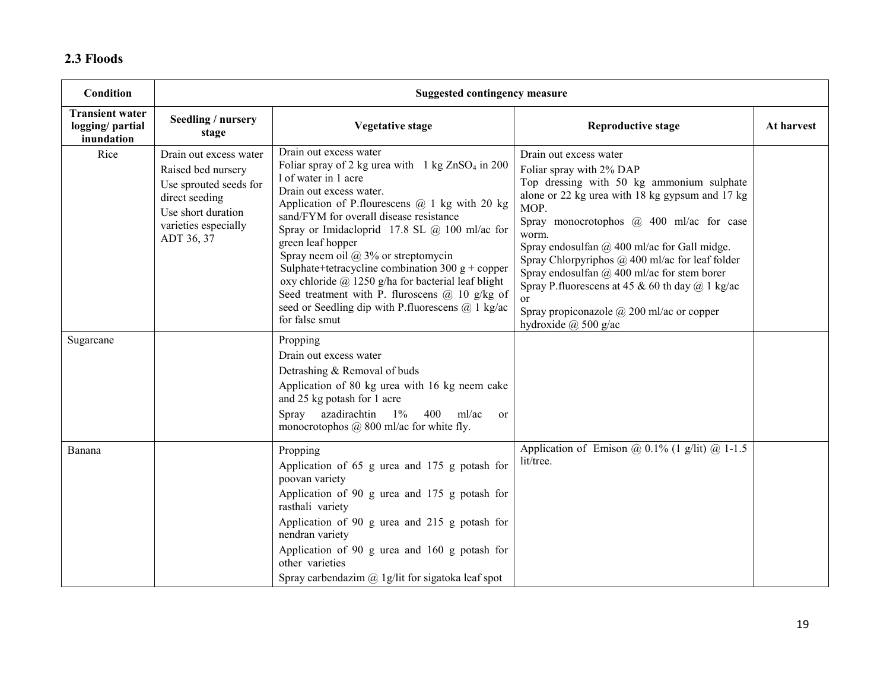#### 2.3 Floods

| Condition                                               | <b>Suggested contingency measure</b>                                                                                                                 |                                                                                                                                                                                                                                                                                                                                                                                                                                                                                                                                                                                                            |                                                                                                                                                                                                                                                                                                                                                                                                                                                                                                                                                 |            |
|---------------------------------------------------------|------------------------------------------------------------------------------------------------------------------------------------------------------|------------------------------------------------------------------------------------------------------------------------------------------------------------------------------------------------------------------------------------------------------------------------------------------------------------------------------------------------------------------------------------------------------------------------------------------------------------------------------------------------------------------------------------------------------------------------------------------------------------|-------------------------------------------------------------------------------------------------------------------------------------------------------------------------------------------------------------------------------------------------------------------------------------------------------------------------------------------------------------------------------------------------------------------------------------------------------------------------------------------------------------------------------------------------|------------|
| <b>Transient water</b><br>logging/partial<br>inundation | Seedling / nursery<br>stage                                                                                                                          | <b>Vegetative stage</b>                                                                                                                                                                                                                                                                                                                                                                                                                                                                                                                                                                                    | <b>Reproductive stage</b>                                                                                                                                                                                                                                                                                                                                                                                                                                                                                                                       | At harvest |
| Rice                                                    | Drain out excess water<br>Raised bed nursery<br>Use sprouted seeds for<br>direct seeding<br>Use short duration<br>varieties especially<br>ADT 36, 37 | Drain out excess water<br>Foliar spray of 2 kg urea with $1 \text{ kg ZnSO}_4$ in 200<br>1 of water in 1 acre<br>Drain out excess water.<br>Application of P. flourescens $\omega$ 1 kg with 20 kg<br>sand/FYM for overall disease resistance<br>Spray or Imidacloprid 17.8 SL @ 100 ml/ac for<br>green leaf hopper<br>Spray neem oil $\omega$ 3% or streptomycin<br>Sulphate+tetracycline combination 300 $g$ + copper<br>oxy chloride @ 1250 g/ha for bacterial leaf blight<br>Seed treatment with P. fluroscens $(a)$ 10 g/kg of<br>seed or Seedling dip with P.fluorescens @ 1 kg/ac<br>for false smut | Drain out excess water<br>Foliar spray with 2% DAP<br>Top dressing with 50 kg ammonium sulphate<br>alone or 22 kg urea with 18 kg gypsum and 17 kg<br>MOP.<br>Spray monocrotophos @ 400 ml/ac for case<br>worm.<br>Spray endosulfan $(a)$ 400 ml/ac for Gall midge.<br>Spray Chlorpyriphos $\omega$ 400 ml/ac for leaf folder<br>Spray endosulfan $\omega$ 400 ml/ac for stem borer<br>Spray P. fluorescens at 45 & 60 th day $(a)$ 1 kg/ac<br><sub>or</sub><br>Spray propiconazole $\omega$ 200 ml/ac or copper<br>hydroxide $\omega$ 500 g/ac |            |
| Sugarcane                                               |                                                                                                                                                      | Propping<br>Drain out excess water<br>Detrashing & Removal of buds<br>Application of 80 kg urea with 16 kg neem cake<br>and 25 kg potash for 1 acre<br>Spray<br>azadirachtin<br>$1\%$<br>400<br>ml/ac<br><sub>or</sub><br>monocrotophos $(a)$ 800 ml/ac for white fly.                                                                                                                                                                                                                                                                                                                                     |                                                                                                                                                                                                                                                                                                                                                                                                                                                                                                                                                 |            |
| Banana                                                  |                                                                                                                                                      | Propping<br>Application of 65 g urea and 175 g potash for<br>poovan variety<br>Application of 90 g urea and 175 g potash for<br>rasthali variety<br>Application of 90 g urea and 215 g potash for<br>nendran variety<br>Application of 90 g urea and 160 g potash for<br>other varieties<br>Spray carbendazim $(a)$ 1g/lit for sigatoka leaf spot                                                                                                                                                                                                                                                          | Application of Emison @ $0.1\%$ (1 g/lit) @ 1-1.5<br>lit/tree.                                                                                                                                                                                                                                                                                                                                                                                                                                                                                  |            |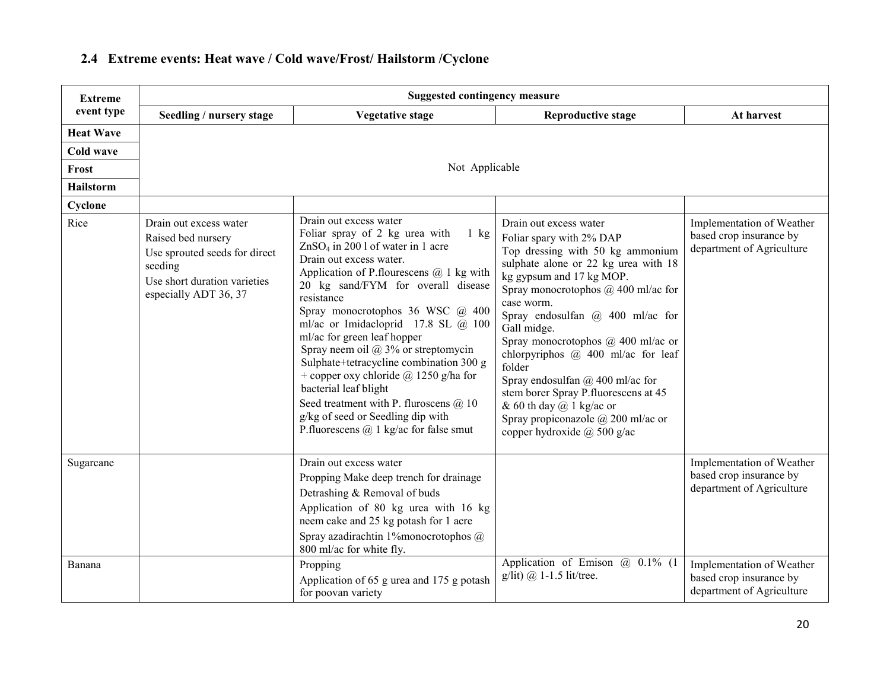| <b>Extreme</b>      | <b>Suggested contingency measure</b>                                                                                                              |                                                                                                                                                                                                                                                                                                                                                                                                                                                                                                                                                                                                                                                          |                                                                                                                                                                                                                                                                                                                                                                                                                                                                                                                                                                          |                                                                                                                |  |
|---------------------|---------------------------------------------------------------------------------------------------------------------------------------------------|----------------------------------------------------------------------------------------------------------------------------------------------------------------------------------------------------------------------------------------------------------------------------------------------------------------------------------------------------------------------------------------------------------------------------------------------------------------------------------------------------------------------------------------------------------------------------------------------------------------------------------------------------------|--------------------------------------------------------------------------------------------------------------------------------------------------------------------------------------------------------------------------------------------------------------------------------------------------------------------------------------------------------------------------------------------------------------------------------------------------------------------------------------------------------------------------------------------------------------------------|----------------------------------------------------------------------------------------------------------------|--|
| event type          | Seedling / nursery stage                                                                                                                          | <b>Vegetative stage</b>                                                                                                                                                                                                                                                                                                                                                                                                                                                                                                                                                                                                                                  | <b>Reproductive stage</b>                                                                                                                                                                                                                                                                                                                                                                                                                                                                                                                                                | At harvest                                                                                                     |  |
| <b>Heat Wave</b>    |                                                                                                                                                   |                                                                                                                                                                                                                                                                                                                                                                                                                                                                                                                                                                                                                                                          |                                                                                                                                                                                                                                                                                                                                                                                                                                                                                                                                                                          |                                                                                                                |  |
| <b>Cold wave</b>    |                                                                                                                                                   |                                                                                                                                                                                                                                                                                                                                                                                                                                                                                                                                                                                                                                                          |                                                                                                                                                                                                                                                                                                                                                                                                                                                                                                                                                                          |                                                                                                                |  |
| Frost               |                                                                                                                                                   | Not Applicable                                                                                                                                                                                                                                                                                                                                                                                                                                                                                                                                                                                                                                           |                                                                                                                                                                                                                                                                                                                                                                                                                                                                                                                                                                          |                                                                                                                |  |
| <b>Hailstorm</b>    |                                                                                                                                                   |                                                                                                                                                                                                                                                                                                                                                                                                                                                                                                                                                                                                                                                          |                                                                                                                                                                                                                                                                                                                                                                                                                                                                                                                                                                          |                                                                                                                |  |
| Cyclone             |                                                                                                                                                   |                                                                                                                                                                                                                                                                                                                                                                                                                                                                                                                                                                                                                                                          |                                                                                                                                                                                                                                                                                                                                                                                                                                                                                                                                                                          |                                                                                                                |  |
| Rice                | Drain out excess water<br>Raised bed nursery<br>Use sprouted seeds for direct<br>seeding<br>Use short duration varieties<br>especially ADT 36, 37 | Drain out excess water<br>Foliar spray of 2 kg urea with<br>$1$ kg<br>$ZnSO4$ in 200 l of water in 1 acre<br>Drain out excess water.<br>Application of P. flourescens $(a)$ 1 kg with<br>20 kg sand/FYM for overall disease<br>resistance<br>Spray monocrotophos 36 WSC @ 400<br>ml/ac or Imidacloprid 17.8 SL $(a)$ 100<br>ml/ac for green leaf hopper<br>Spray neem oil $@3\%$ or streptomycin<br>Sulphate+tetracycline combination 300 g<br>+ copper oxy chloride $\omega$ 1250 g/ha for<br>bacterial leaf blight<br>Seed treatment with P. fluroscens $(a)$ 10<br>g/kg of seed or Seedling dip with<br>P.fluorescens $\omega$ 1 kg/ac for false smut | Drain out excess water<br>Foliar spary with 2% DAP<br>Top dressing with 50 kg ammonium<br>sulphate alone or 22 kg urea with 18<br>kg gypsum and 17 kg MOP.<br>Spray monocrotophos @ 400 ml/ac for<br>case worm.<br>Spray endosulfan $(a)$ 400 ml/ac for<br>Gall midge.<br>Spray monocrotophos $(a)$ 400 ml/ac or<br>chlorpyriphos $\omega$ 400 ml/ac for leaf<br>folder<br>Spray endosulfan $(a)$ 400 ml/ac for<br>stem borer Spray P.fluorescens at 45<br>& 60 th day $@$ 1 kg/ac or<br>Spray propiconazole $\omega$ 200 ml/ac or<br>copper hydroxide $\omega$ 500 g/ac | Implementation of Weather<br>based crop insurance by<br>department of Agriculture                              |  |
| Sugarcane<br>Banana |                                                                                                                                                   | Drain out excess water<br>Propping Make deep trench for drainage<br>Detrashing & Removal of buds<br>Application of 80 kg urea with 16 kg<br>neem cake and 25 kg potash for 1 acre<br>Spray azadirachtin 1% monocrotophos @<br>800 ml/ac for white fly.<br>Propping                                                                                                                                                                                                                                                                                                                                                                                       | Application of Emison $\omega$ 0.1% (1)                                                                                                                                                                                                                                                                                                                                                                                                                                                                                                                                  | Implementation of Weather<br>based crop insurance by<br>department of Agriculture<br>Implementation of Weather |  |
|                     |                                                                                                                                                   | Application of 65 g urea and 175 g potash<br>for poovan variety                                                                                                                                                                                                                                                                                                                                                                                                                                                                                                                                                                                          | $g/lit)$ $\omega$ 1-1.5 lit/tree.                                                                                                                                                                                                                                                                                                                                                                                                                                                                                                                                        | based crop insurance by<br>department of Agriculture                                                           |  |

# 2.4 Extreme events: Heat wave / Cold wave/Frost/ Hailstorm /Cyclone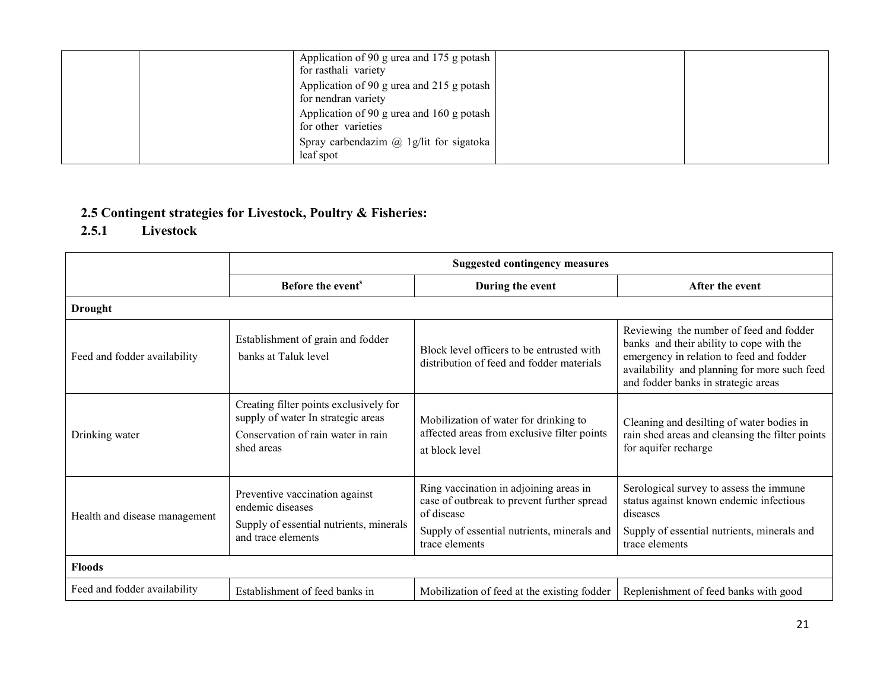| Application of 90 g urea and 175 g potash<br>for rasthali variety |
|-------------------------------------------------------------------|
| Application of 90 g urea and 215 g potash<br>for nendran variety  |
| Application of 90 g urea and 160 g potash<br>for other varieties  |
| Spray carbendazim $\omega$ 1g/lit for sigatoka<br>leaf spot       |

# 2.5 Contingent strategies for Livestock, Poultry & Fisheries:

# 2.5.1 Livestock

|                               | <b>Suggested contingency measures</b>                                                                                            |                                                                                                                                                                     |                                                                                                                                                                                                                        |
|-------------------------------|----------------------------------------------------------------------------------------------------------------------------------|---------------------------------------------------------------------------------------------------------------------------------------------------------------------|------------------------------------------------------------------------------------------------------------------------------------------------------------------------------------------------------------------------|
|                               | Before the event <sup>s</sup>                                                                                                    | During the event                                                                                                                                                    | After the event                                                                                                                                                                                                        |
| <b>Drought</b>                |                                                                                                                                  |                                                                                                                                                                     |                                                                                                                                                                                                                        |
| Feed and fodder availability  | Establishment of grain and fodder<br>banks at Taluk level                                                                        | Block level officers to be entrusted with<br>distribution of feed and fodder materials                                                                              | Reviewing the number of feed and fodder<br>banks and their ability to cope with the<br>emergency in relation to feed and fodder<br>availability and planning for more such feed<br>and fodder banks in strategic areas |
| Drinking water                | Creating filter points exclusively for<br>supply of water In strategic areas<br>Conservation of rain water in rain<br>shed areas | Mobilization of water for drinking to<br>affected areas from exclusive filter points<br>at block level                                                              | Cleaning and desilting of water bodies in<br>rain shed areas and cleansing the filter points<br>for aquifer recharge                                                                                                   |
| Health and disease management | Preventive vaccination against<br>endemic diseases<br>Supply of essential nutrients, minerals<br>and trace elements              | Ring vaccination in adjoining areas in<br>case of outbreak to prevent further spread<br>of disease<br>Supply of essential nutrients, minerals and<br>trace elements | Serological survey to assess the immune<br>status against known endemic infectious<br>diseases<br>Supply of essential nutrients, minerals and<br>trace elements                                                        |
| <b>Floods</b>                 |                                                                                                                                  |                                                                                                                                                                     |                                                                                                                                                                                                                        |
| Feed and fodder availability  | Establishment of feed banks in                                                                                                   | Mobilization of feed at the existing fodder                                                                                                                         | Replenishment of feed banks with good                                                                                                                                                                                  |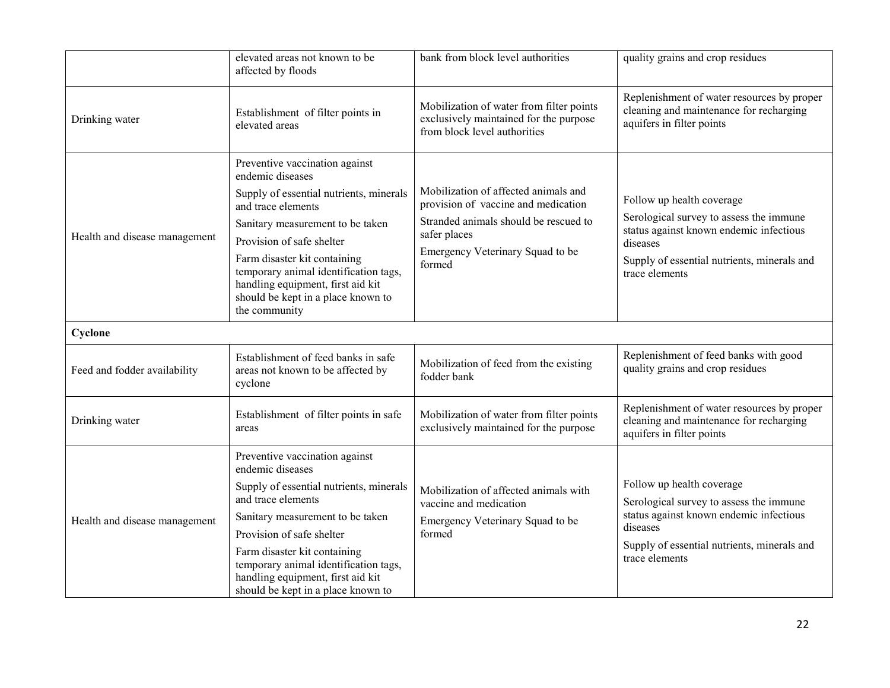|                               | elevated areas not known to be<br>affected by floods                                                                                                              | bank from block level authorities                                                                                  | quality grains and crop residues                                                                                   |
|-------------------------------|-------------------------------------------------------------------------------------------------------------------------------------------------------------------|--------------------------------------------------------------------------------------------------------------------|--------------------------------------------------------------------------------------------------------------------|
| Drinking water                | Establishment of filter points in<br>elevated areas                                                                                                               | Mobilization of water from filter points<br>exclusively maintained for the purpose<br>from block level authorities | Replenishment of water resources by proper<br>cleaning and maintenance for recharging<br>aquifers in filter points |
|                               | Preventive vaccination against<br>endemic diseases<br>Supply of essential nutrients, minerals<br>and trace elements                                               | Mobilization of affected animals and<br>provision of vaccine and medication                                        | Follow up health coverage                                                                                          |
| Health and disease management | Sanitary measurement to be taken<br>Provision of safe shelter                                                                                                     | Stranded animals should be rescued to<br>safer places                                                              | Serological survey to assess the immune<br>status against known endemic infectious<br>diseases                     |
|                               | Farm disaster kit containing<br>temporary animal identification tags,<br>handling equipment, first aid kit<br>should be kept in a place known to<br>the community | Emergency Veterinary Squad to be<br>formed                                                                         | Supply of essential nutrients, minerals and<br>trace elements                                                      |
| Cyclone                       |                                                                                                                                                                   |                                                                                                                    |                                                                                                                    |
| Feed and fodder availability  | Establishment of feed banks in safe<br>areas not known to be affected by<br>cyclone                                                                               | Mobilization of feed from the existing<br>fodder bank                                                              | Replenishment of feed banks with good<br>quality grains and crop residues                                          |
| Drinking water                | Establishment of filter points in safe<br>areas                                                                                                                   | Mobilization of water from filter points<br>exclusively maintained for the purpose                                 | Replenishment of water resources by proper<br>cleaning and maintenance for recharging<br>aquifers in filter points |
|                               | Preventive vaccination against<br>endemic diseases                                                                                                                |                                                                                                                    |                                                                                                                    |
|                               | Supply of essential nutrients, minerals<br>and trace elements                                                                                                     | Mobilization of affected animals with<br>vaccine and medication                                                    | Follow up health coverage<br>Serological survey to assess the immune                                               |
| Health and disease management | Sanitary measurement to be taken<br>Provision of safe shelter                                                                                                     | Emergency Veterinary Squad to be<br>formed                                                                         | status against known endemic infectious<br>diseases                                                                |
|                               | Farm disaster kit containing<br>temporary animal identification tags,<br>handling equipment, first aid kit<br>should be kept in a place known to                  |                                                                                                                    | Supply of essential nutrients, minerals and<br>trace elements                                                      |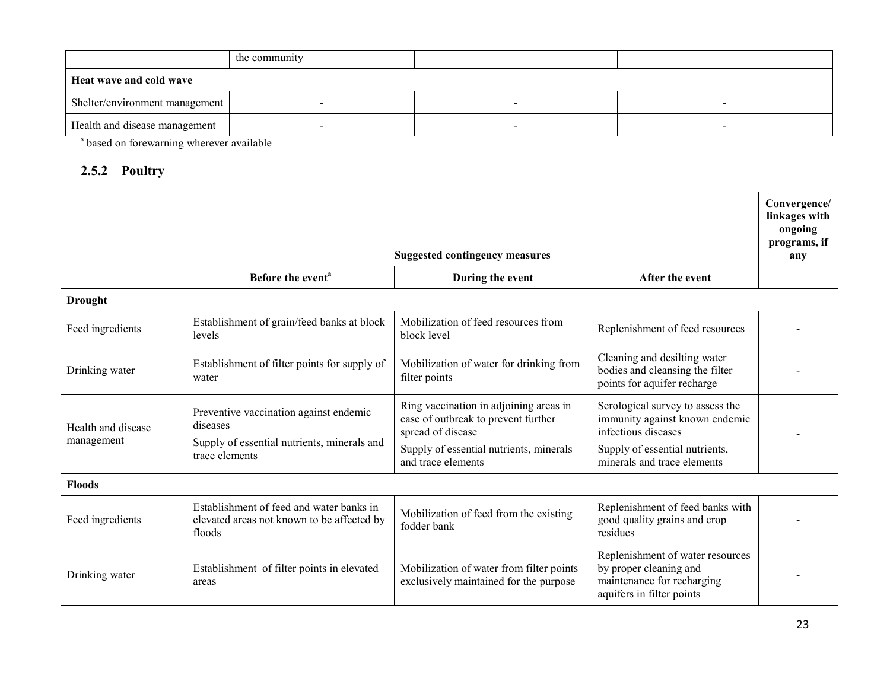|                                | the community |  |  |
|--------------------------------|---------------|--|--|
| Heat wave and cold wave        |               |  |  |
| Shelter/environment management |               |  |  |
| Health and disease management  |               |  |  |

s based on forewarning wherever available

#### 2.5.2 Poultry

|                                  |                                                                                                   | <b>Suggested contingency measures</b>                                                              |                                                                                                                       | Convergence/<br>linkages with<br>ongoing<br>programs, if |
|----------------------------------|---------------------------------------------------------------------------------------------------|----------------------------------------------------------------------------------------------------|-----------------------------------------------------------------------------------------------------------------------|----------------------------------------------------------|
|                                  | Before the event <sup>a</sup>                                                                     | During the event                                                                                   | After the event                                                                                                       | any                                                      |
| <b>Drought</b>                   |                                                                                                   |                                                                                                    |                                                                                                                       |                                                          |
| Feed ingredients                 | Establishment of grain/feed banks at block<br>levels                                              | Mobilization of feed resources from<br>block level                                                 | Replenishment of feed resources                                                                                       |                                                          |
| Drinking water                   | Establishment of filter points for supply of<br>water                                             | Mobilization of water for drinking from<br>filter points                                           | Cleaning and desilting water<br>bodies and cleansing the filter<br>points for aquifer recharge                        |                                                          |
| Health and disease<br>management | Preventive vaccination against endemic<br>diseases<br>Supply of essential nutrients, minerals and | Ring vaccination in adjoining areas in<br>case of outbreak to prevent further<br>spread of disease | Serological survey to assess the<br>immunity against known endemic<br>infectious diseases                             |                                                          |
|                                  | trace elements                                                                                    | Supply of essential nutrients, minerals<br>and trace elements                                      | Supply of essential nutrients,<br>minerals and trace elements                                                         |                                                          |
| <b>Floods</b>                    |                                                                                                   |                                                                                                    |                                                                                                                       |                                                          |
| Feed ingredients                 | Establishment of feed and water banks in<br>elevated areas not known to be affected by<br>floods  | Mobilization of feed from the existing<br>fodder bank                                              | Replenishment of feed banks with<br>good quality grains and crop<br>residues                                          |                                                          |
| Drinking water                   | Establishment of filter points in elevated<br>areas                                               | Mobilization of water from filter points<br>exclusively maintained for the purpose                 | Replenishment of water resources<br>by proper cleaning and<br>maintenance for recharging<br>aquifers in filter points |                                                          |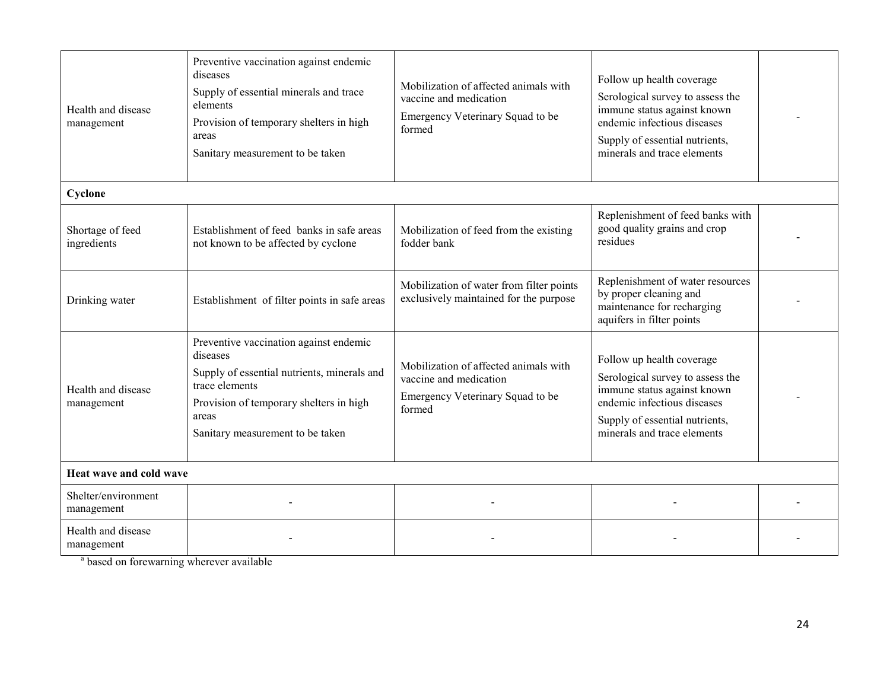| Health and disease<br>management  | Preventive vaccination against endemic<br>diseases<br>Supply of essential minerals and trace<br>elements<br>Provision of temporary shelters in high<br>areas<br>Sanitary measurement to be taken            | Mobilization of affected animals with<br>vaccine and medication<br>Emergency Veterinary Squad to be<br>formed | Follow up health coverage<br>Serological survey to assess the<br>immune status against known<br>endemic infectious diseases<br>Supply of essential nutrients,<br>minerals and trace elements |  |  |
|-----------------------------------|-------------------------------------------------------------------------------------------------------------------------------------------------------------------------------------------------------------|---------------------------------------------------------------------------------------------------------------|----------------------------------------------------------------------------------------------------------------------------------------------------------------------------------------------|--|--|
| Cyclone                           |                                                                                                                                                                                                             |                                                                                                               |                                                                                                                                                                                              |  |  |
| Shortage of feed<br>ingredients   | Establishment of feed banks in safe areas<br>not known to be affected by cyclone                                                                                                                            | Mobilization of feed from the existing<br>fodder bank                                                         | Replenishment of feed banks with<br>good quality grains and crop<br>residues                                                                                                                 |  |  |
| Drinking water                    | Establishment of filter points in safe areas                                                                                                                                                                | Mobilization of water from filter points<br>exclusively maintained for the purpose                            | Replenishment of water resources<br>by proper cleaning and<br>maintenance for recharging<br>aquifers in filter points                                                                        |  |  |
| Health and disease<br>management  | Preventive vaccination against endemic<br>diseases<br>Supply of essential nutrients, minerals and<br>trace elements<br>Provision of temporary shelters in high<br>areas<br>Sanitary measurement to be taken | Mobilization of affected animals with<br>vaccine and medication<br>Emergency Veterinary Squad to be<br>formed | Follow up health coverage<br>Serological survey to assess the<br>immune status against known<br>endemic infectious diseases<br>Supply of essential nutrients,<br>minerals and trace elements |  |  |
| Heat wave and cold wave           |                                                                                                                                                                                                             |                                                                                                               |                                                                                                                                                                                              |  |  |
| Shelter/environment<br>management |                                                                                                                                                                                                             |                                                                                                               |                                                                                                                                                                                              |  |  |
| Health and disease<br>management  |                                                                                                                                                                                                             |                                                                                                               |                                                                                                                                                                                              |  |  |

<sup>a</sup> based on forewarning wherever available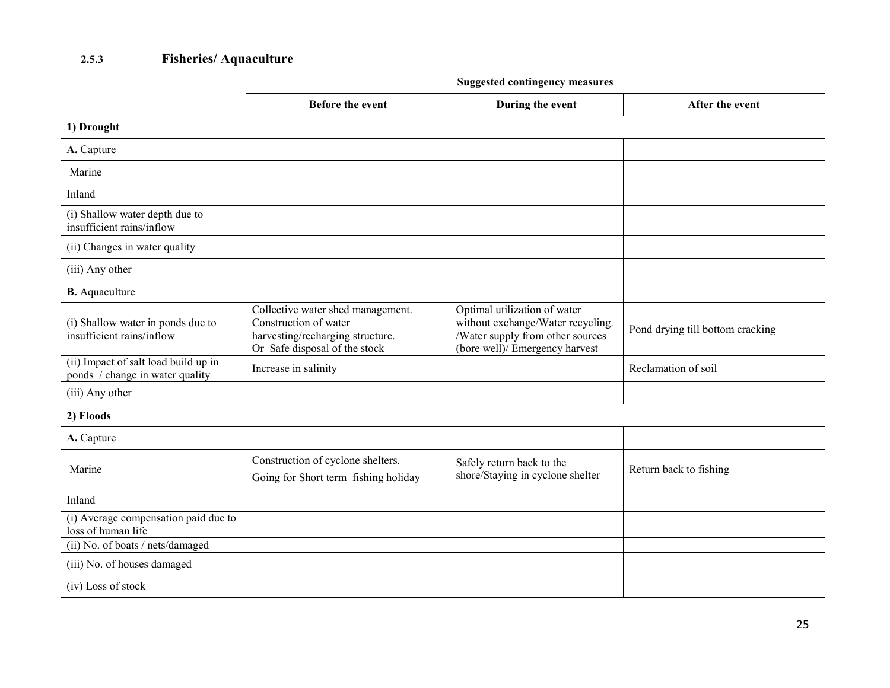#### 2.5.3Fisheries/ Aquaculture

|                                                                         | <b>Suggested contingency measures</b>                                                                                           |                                                                                                                                         |                                  |
|-------------------------------------------------------------------------|---------------------------------------------------------------------------------------------------------------------------------|-----------------------------------------------------------------------------------------------------------------------------------------|----------------------------------|
|                                                                         | <b>Before the event</b>                                                                                                         | During the event                                                                                                                        | After the event                  |
| 1) Drought                                                              |                                                                                                                                 |                                                                                                                                         |                                  |
| A. Capture                                                              |                                                                                                                                 |                                                                                                                                         |                                  |
| Marine                                                                  |                                                                                                                                 |                                                                                                                                         |                                  |
| Inland                                                                  |                                                                                                                                 |                                                                                                                                         |                                  |
| (i) Shallow water depth due to<br>insufficient rains/inflow             |                                                                                                                                 |                                                                                                                                         |                                  |
| (ii) Changes in water quality                                           |                                                                                                                                 |                                                                                                                                         |                                  |
| (iii) Any other                                                         |                                                                                                                                 |                                                                                                                                         |                                  |
| <b>B.</b> Aquaculture                                                   |                                                                                                                                 |                                                                                                                                         |                                  |
| (i) Shallow water in ponds due to<br>insufficient rains/inflow          | Collective water shed management.<br>Construction of water<br>harvesting/recharging structure.<br>Or Safe disposal of the stock | Optimal utilization of water<br>without exchange/Water recycling.<br>/Water supply from other sources<br>(bore well)/ Emergency harvest | Pond drying till bottom cracking |
| (ii) Impact of salt load build up in<br>ponds / change in water quality | Increase in salinity                                                                                                            |                                                                                                                                         | Reclamation of soil              |
| (iii) Any other                                                         |                                                                                                                                 |                                                                                                                                         |                                  |
| 2) Floods                                                               |                                                                                                                                 |                                                                                                                                         |                                  |
| A. Capture                                                              |                                                                                                                                 |                                                                                                                                         |                                  |
| Marine                                                                  | Construction of cyclone shelters.<br>Going for Short term fishing holiday                                                       | Safely return back to the<br>shore/Staying in cyclone shelter                                                                           | Return back to fishing           |
| Inland                                                                  |                                                                                                                                 |                                                                                                                                         |                                  |
| (i) Average compensation paid due to<br>loss of human life              |                                                                                                                                 |                                                                                                                                         |                                  |
| (ii) No. of boats / nets/damaged                                        |                                                                                                                                 |                                                                                                                                         |                                  |
| (iii) No. of houses damaged                                             |                                                                                                                                 |                                                                                                                                         |                                  |
| (iv) Loss of stock                                                      |                                                                                                                                 |                                                                                                                                         |                                  |